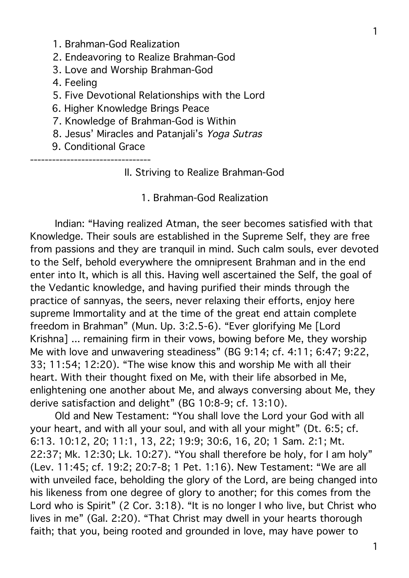1. Brahman-God Realization

2. Endeavoring to Realize Brahman-God

- 3. Love and Worship Brahman-God
- 4. Feeling

5. Five Devotional Relationships with the Lord

- 6. Higher Knowledge Brings Peace
- 7. Knowledge of Brahman-God is Within

8. Jesus' Miracles and Patanjali's Yoga Sutras

9. Conditional Grace

---------------------------------

### II. Striving to Realize Brahman-God

### 1. Brahman-God Realization

Indian: "Having realized Atman, the seer becomes satisfied with that Knowledge. Their souls are established in the Supreme Self, they are free from passions and they are tranquil in mind. Such calm souls, ever devoted to the Self, behold everywhere the omnipresent Brahman and in the end enter into It, which is all this. Having well ascertained the Self, the goal of the Vedantic knowledge, and having purified their minds through the practice of sannyas, the seers, never relaxing their efforts, enjoy here supreme Immortality and at the time of the great end attain complete freedom in Brahman" (Mun. Up. 3:2.5-6). "Ever glorifying Me [Lord Krishna] ... remaining firm in their vows, bowing before Me, they worship Me with love and unwavering steadiness" (BG 9:14; cf. 4:11; 6:47; 9:22, 33; 11:54; 12:20). "The wise know this and worship Me with all their heart. With their thought fixed on Me, with their life absorbed in Me, enlightening one another about Me, and always conversing about Me, they derive satisfaction and delight" (BG 10:8-9; cf. 13:10).

Old and New Testament: "You shall love the Lord your God with all your heart, and with all your soul, and with all your might" (Dt. 6:5; cf. 6:13. 10:12, 20; 11:1, 13, 22; 19:9; 30:6, 16, 20; 1 Sam. 2:1; Mt. 22:37; Mk. 12:30; Lk. 10:27). "You shall therefore be holy, for I am holy" (Lev. 11:45; cf. 19:2; 20:7-8; 1 Pet. 1:16). New Testament: "We are all with unveiled face, beholding the glory of the Lord, are being changed into his likeness from one degree of glory to another; for this comes from the Lord who is Spirit" (2 Cor. 3:18). "It is no longer I who live, but Christ who lives in me" (Gal. 2:20). "That Christ may dwell in your hearts thorough faith; that you, being rooted and grounded in love, may have power to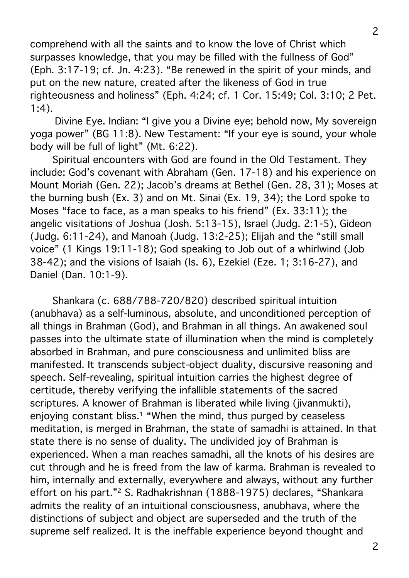comprehend with all the saints and to know the love of Christ which surpasses knowledge, that you may be filled with the fullness of God" (Eph. 3:17-19; cf. Jn. 4:23). "Be renewed in the spirit of your minds, and put on the new nature, created after the likeness of God in true righteousness and holiness" (Eph. 4:24; cf. 1 Cor. 15:49; Col. 3:10; 2 Pet. 1:4).

Divine Eye. Indian: "I give you a Divine eye; behold now, My sovereign yoga power" (BG 11:8). New Testament: "If your eye is sound, your whole body will be full of light" (Mt. 6:22).

Spiritual encounters with God are found in the Old Testament. They include: God's covenant with Abraham (Gen. 17-18) and his experience on Mount Moriah (Gen. 22); Jacob's dreams at Bethel (Gen. 28, 31); Moses at the burning bush (Ex. 3) and on Mt. Sinai (Ex. 19, 34); the Lord spoke to Moses "face to face, as a man speaks to his friend" (Ex. 33:11); the angelic visitations of Joshua (Josh. 5:13-15), Israel (Judg. 2:1-5), Gideon (Judg. 6:11-24), and Manoah (Judg. 13:2-25); Elijah and the "still small voice" (1 Kings 19:11-18); God speaking to Job out of a whirlwind (Job 38-42); and the visions of Isaiah (Is. 6), Ezekiel (Eze. 1; 3:16-27), and Daniel (Dan. 10:1-9).

Shankara (c. 688/788-720/820) described spiritual intuition (anubhava) as a self-luminous, absolute, and unconditioned perception of all things in Brahman (God), and Brahman in all things. An awakened soul passes into the ultimate state of illumination when the mind is completely absorbed in Brahman, and pure consciousness and unlimited bliss are manifested. It transcends subject-object duality, discursive reasoning and speech. Self-revealing, spiritual intuition carries the highest degree of certitude, thereby verifying the infallible statements of the sacred scriptures. A knower of Brahman is liberated while living (jivanmukti), enjoying constant bliss.<sup>1</sup> "When the mind, thus purged by ceaseless meditation, is merged in Brahman, the state of samadhi is attained. In that state there is no sense of duality. The undivided joy of Brahman is experienced. When a man reaches samadhi, all the knots of his desires are cut through and he is freed from the law of karma. Brahman is revealed to him, internally and externally, everywhere and always, without any further effort on his part."2 S. Radhakrishnan (1888-1975) declares, "Shankara admits the reality of an intuitional consciousness, anubhava, where the distinctions of subject and object are superseded and the truth of the supreme self realized. It is the ineffable experience beyond thought and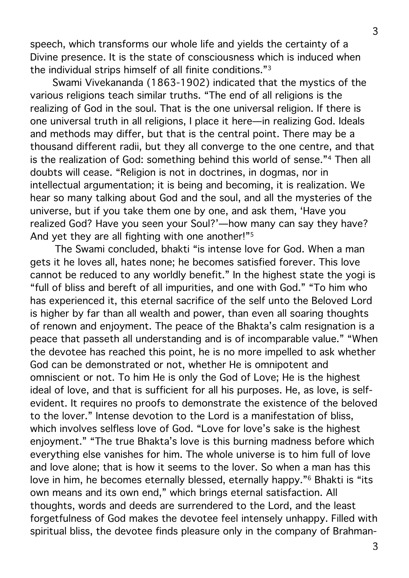speech, which transforms our whole life and yields the certainty of a Divine presence. It is the state of consciousness which is induced when the individual strips himself of all finite conditions."3

Swami Vivekananda (1863-1902) indicated that the mystics of the various religions teach similar truths. "The end of all religions is the realizing of God in the soul. That is the one universal religion. If there is one universal truth in all religions, I place it here—in realizing God. Ideals and methods may differ, but that is the central point. There may be a thousand different radii, but they all converge to the one centre, and that is the realization of God: something behind this world of sense."4 Then all doubts will cease. "Religion is not in doctrines, in dogmas, nor in intellectual argumentation; it is being and becoming, it is realization. We hear so many talking about God and the soul, and all the mysteries of the universe, but if you take them one by one, and ask them, 'Have you realized God? Have you seen your Soul?'—how many can say they have? And yet they are all fighting with one another!"<sup>5</sup>

The Swami concluded, bhakti "is intense love for God. When a man gets it he loves all, hates none; he becomes satisfied forever. This love cannot be reduced to any worldly benefit." In the highest state the yogi is "full of bliss and bereft of all impurities, and one with God." "To him who has experienced it, this eternal sacrifice of the self unto the Beloved Lord is higher by far than all wealth and power, than even all soaring thoughts of renown and enjoyment. The peace of the Bhakta's calm resignation is a peace that passeth all understanding and is of incomparable value." "When the devotee has reached this point, he is no more impelled to ask whether God can be demonstrated or not, whether He is omnipotent and omniscient or not. To him He is only the God of Love; He is the highest ideal of love, and that is sufficient for all his purposes. He, as love, is selfevident. It requires no proofs to demonstrate the existence of the beloved to the lover." Intense devotion to the Lord is a manifestation of bliss, which involves selfless love of God. "Love for love's sake is the highest enjoyment." "The true Bhakta's love is this burning madness before which everything else vanishes for him. The whole universe is to him full of love and love alone; that is how it seems to the lover. So when a man has this love in him, he becomes eternally blessed, eternally happy."6 Bhakti is "its own means and its own end," which brings eternal satisfaction. All thoughts, words and deeds are surrendered to the Lord, and the least forgetfulness of God makes the devotee feel intensely unhappy. Filled with spiritual bliss, the devotee finds pleasure only in the company of Brahman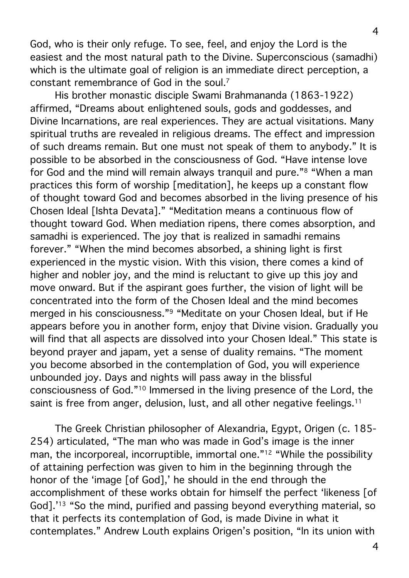God, who is their only refuge. To see, feel, and enjoy the Lord is the easiest and the most natural path to the Divine. Superconscious (samadhi) which is the ultimate goal of religion is an immediate direct perception, a constant remembrance of God in the soul.7

His brother monastic disciple Swami Brahmananda (1863-1922) affirmed, "Dreams about enlightened souls, gods and goddesses, and Divine Incarnations, are real experiences. They are actual visitations. Many spiritual truths are revealed in religious dreams. The effect and impression of such dreams remain. But one must not speak of them to anybody." It is possible to be absorbed in the consciousness of God. "Have intense love for God and the mind will remain always tranquil and pure."8 "When a man practices this form of worship [meditation], he keeps up a constant flow of thought toward God and becomes absorbed in the living presence of his Chosen Ideal [Ishta Devata]." "Meditation means a continuous flow of thought toward God. When mediation ripens, there comes absorption, and samadhi is experienced. The joy that is realized in samadhi remains forever." "When the mind becomes absorbed, a shining light is first experienced in the mystic vision. With this vision, there comes a kind of higher and nobler joy, and the mind is reluctant to give up this joy and move onward. But if the aspirant goes further, the vision of light will be concentrated into the form of the Chosen Ideal and the mind becomes merged in his consciousness."9 "Meditate on your Chosen Ideal, but if He appears before you in another form, enjoy that Divine vision. Gradually you will find that all aspects are dissolved into your Chosen Ideal." This state is beyond prayer and japam, yet a sense of duality remains. "The moment you become absorbed in the contemplation of God, you will experience unbounded joy. Days and nights will pass away in the blissful consciousness of God."10 Immersed in the living presence of the Lord, the saint is free from anger, delusion, lust, and all other negative feelings.<sup>11</sup>

The Greek Christian philosopher of Alexandria, Egypt, Origen (c. 185- 254) articulated, "The man who was made in God's image is the inner man, the incorporeal, incorruptible, immortal one."<sup>12</sup> "While the possibility of attaining perfection was given to him in the beginning through the honor of the 'image [of God],' he should in the end through the accomplishment of these works obtain for himself the perfect 'likeness [of God].'13 "So the mind, purified and passing beyond everything material, so that it perfects its contemplation of God, is made Divine in what it contemplates." Andrew Louth explains Origen's position, "ln its union with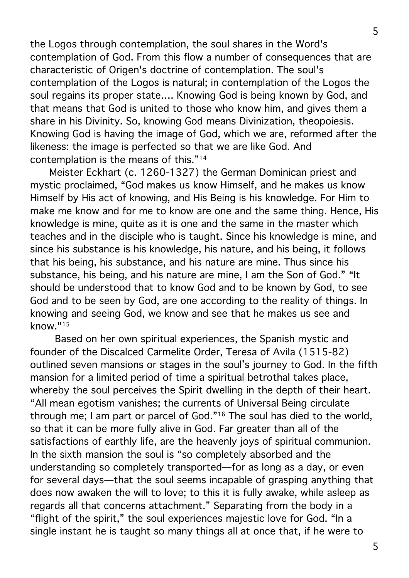the Logos through contemplation, the soul shares in the Word's contemplation of God. From this flow a number of consequences that are characteristic of Origen's doctrine of contemplation. The soul's contemplation of the Logos is natural; in contemplation of the Logos the soul regains its proper state…. Knowing God is being known by God, and that means that God is united to those who know him, and gives them a share in his Divinity. So, knowing God means Divinization, theopoiesis. Knowing God is having the image of God, which we are, reformed after the likeness: the image is perfected so that we are like God. And contemplation is the means of this."14

Meister Eckhart (c. 1260-1327) the German Dominican priest and mystic proclaimed, "God makes us know Himself, and he makes us know Himself by His act of knowing, and His Being is his knowledge. For Him to make me know and for me to know are one and the same thing. Hence, His knowledge is mine, quite as it is one and the same in the master which teaches and in the disciple who is taught. Since his knowledge is mine, and since his substance is his knowledge, his nature, and his being, it follows that his being, his substance, and his nature are mine. Thus since his substance, his being, and his nature are mine, I am the Son of God." "It should be understood that to know God and to be known by God, to see God and to be seen by God, are one according to the reality of things. In knowing and seeing God, we know and see that he makes us see and know."15

Based on her own spiritual experiences, the Spanish mystic and founder of the Discalced Carmelite Order, Teresa of Avila (1515-82) outlined seven mansions or stages in the soul's journey to God. In the fifth mansion for a limited period of time a spiritual betrothal takes place, whereby the soul perceives the Spirit dwelling in the depth of their heart. "All mean egotism vanishes; the currents of Universal Being circulate through me; I am part or parcel of God."16 The soul has died to the world, so that it can be more fully alive in God. Far greater than all of the satisfactions of earthly life, are the heavenly joys of spiritual communion. In the sixth mansion the soul is "so completely absorbed and the understanding so completely transported—for as long as a day, or even for several days—that the soul seems incapable of grasping anything that does now awaken the will to love; to this it is fully awake, while asleep as regards all that concerns attachment." Separating from the body in a "flight of the spirit," the soul experiences majestic love for God. "In a single instant he is taught so many things all at once that, if he were to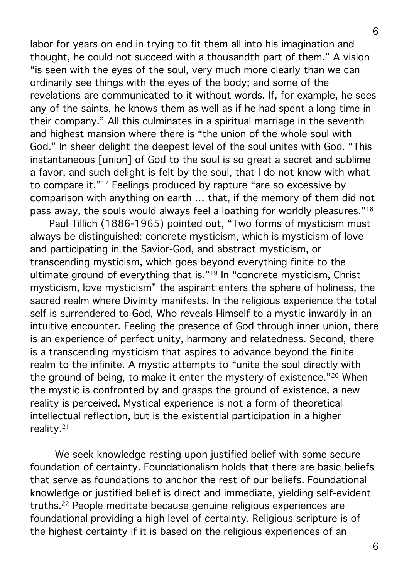labor for years on end in trying to fit them all into his imagination and thought, he could not succeed with a thousandth part of them." A vision "is seen with the eyes of the soul, very much more clearly than we can ordinarily see things with the eyes of the body; and some of the revelations are communicated to it without words. If, for example, he sees any of the saints, he knows them as well as if he had spent a long time in their company." All this culminates in a spiritual marriage in the seventh and highest mansion where there is "the union of the whole soul with God." In sheer delight the deepest level of the soul unites with God. "This instantaneous [union] of God to the soul is so great a secret and sublime a favor, and such delight is felt by the soul, that I do not know with what to compare it."17 Feelings produced by rapture "are so excessive by comparison with anything on earth … that, if the memory of them did not pass away, the souls would always feel a loathing for worldly pleasures."18

Paul Tillich (1886-1965) pointed out, "Two forms of mysticism must always be distinguished: concrete mysticism, which is mysticism of love and participating in the Savior-God, and abstract mysticism, or transcending mysticism, which goes beyond everything finite to the ultimate ground of everything that is."19 In "concrete mysticism, Christ mysticism, love mysticism" the aspirant enters the sphere of holiness, the sacred realm where Divinity manifests. In the religious experience the total self is surrendered to God, Who reveals Himself to a mystic inwardly in an intuitive encounter. Feeling the presence of God through inner union, there is an experience of perfect unity, harmony and relatedness. Second, there is a transcending mysticism that aspires to advance beyond the finite realm to the infinite. A mystic attempts to "unite the soul directly with the ground of being, to make it enter the mystery of existence."20 When the mystic is confronted by and grasps the ground of existence, a new reality is perceived. Mystical experience is not a form of theoretical intellectual reflection, but is the existential participation in a higher reality.21

We seek knowledge resting upon justified belief with some secure foundation of certainty. Foundationalism holds that there are basic beliefs that serve as foundations to anchor the rest of our beliefs. Foundational knowledge or justified belief is direct and immediate, yielding self-evident truths.22 People meditate because genuine religious experiences are foundational providing a high level of certainty. Religious scripture is of the highest certainty if it is based on the religious experiences of an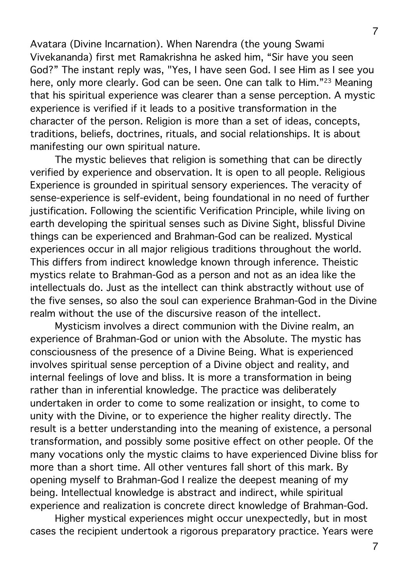Avatara (Divine Incarnation). When Narendra (the young Swami Vivekananda) first met Ramakrishna he asked him, "Sir have you seen God?" The instant reply was, "Yes, I have seen God. I see Him as I see you here, only more clearly. God can be seen. One can talk to Him."<sup>23</sup> Meaning that his spiritual experience was clearer than a sense perception. A mystic experience is verified if it leads to a positive transformation in the character of the person. Religion is more than a set of ideas, concepts, traditions, beliefs, doctrines, rituals, and social relationships. It is about manifesting our own spiritual nature.

The mystic believes that religion is something that can be directly verified by experience and observation. It is open to all people. Religious Experience is grounded in spiritual sensory experiences. The veracity of sense-experience is self-evident, being foundational in no need of further justification. Following the scientific Verification Principle, while living on earth developing the spiritual senses such as Divine Sight, blissful Divine things can be experienced and Brahman-God can be realized. Mystical experiences occur in all major religious traditions throughout the world. This differs from indirect knowledge known through inference. Theistic mystics relate to Brahman-God as a person and not as an idea like the intellectuals do. Just as the intellect can think abstractly without use of the five senses, so also the soul can experience Brahman-God in the Divine realm without the use of the discursive reason of the intellect.

Mysticism involves a direct communion with the Divine realm, an experience of Brahman-God or union with the Absolute. The mystic has consciousness of the presence of a Divine Being. What is experienced involves spiritual sense perception of a Divine object and reality, and internal feelings of love and bliss. It is more a transformation in being rather than in inferential knowledge. The practice was deliberately undertaken in order to come to some realization or insight, to come to unity with the Divine, or to experience the higher reality directly. The result is a better understanding into the meaning of existence, a personal transformation, and possibly some positive effect on other people. Of the many vocations only the mystic claims to have experienced Divine bliss for more than a short time. All other ventures fall short of this mark. By opening myself to Brahman-God I realize the deepest meaning of my being. Intellectual knowledge is abstract and indirect, while spiritual experience and realization is concrete direct knowledge of Brahman-God.

Higher mystical experiences might occur unexpectedly, but in most cases the recipient undertook a rigorous preparatory practice. Years were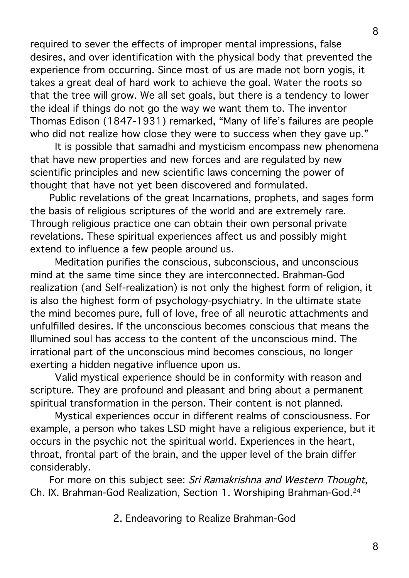required to sever the effects of improper mental impressions, false desires, and over identification with the physical body that prevented the experience from occurring. Since most of us are made not born yogis, it takes a great deal of hard work to achieve the goal. Water the roots so that the tree will grow. We all set goals, but there is a tendency to lower the ideal if things do not go the way we want them to. The inventor Thomas Edison (1847-1931) remarked, "Many of life's failures are people who did not realize how close they were to success when they gave up."

It is possible that samadhi and mysticism encompass new phenomena that have new properties and new forces and are regulated by new scientific principles and new scientific laws concerning the power of thought that have not yet been discovered and formulated.

Public revelations of the great Incarnations, prophets, and sages form the basis of religious scriptures of the world and are extremely rare. Through religious practice one can obtain their own personal private revelations. These spiritual experiences affect us and possibly might extend to influence a few people around us.

Meditation purifies the conscious, subconscious, and unconscious mind at the same time since they are interconnected. Brahman-God realization (and Self-realization) is not only the highest form of religion, it is also the highest form of psychology-psychiatry. In the ultimate state the mind becomes pure, full of love, free of all neurotic attachments and unfulfilled desires. If the unconscious becomes conscious that means the Illumined soul has access to the content of the unconscious mind. The irrational part of the unconscious mind becomes conscious, no longer exerting a hidden negative influence upon us.

Valid mystical experience should be in conformity with reason and scripture. They are profound and pleasant and bring about a permanent spiritual transformation in the person. Their content is not planned.

Mystical experiences occur in different realms of consciousness. For example, a person who takes LSD might have a religious experience, but it occurs in the psychic not the spiritual world. Experiences in the heart, throat, frontal part of the brain, and the upper level of the brain differ considerably.

For more on this subject see: Sri Ramakrishna and Western Thought, Ch. IX. Brahman-God Realization, Section 1. Worshiping Brahman-God.24

2. Endeavoring to Realize Brahman-God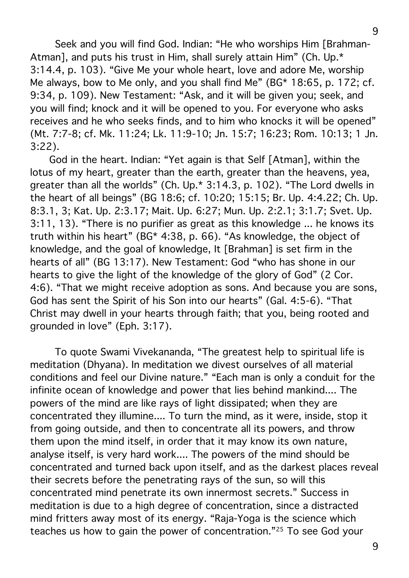Seek and you will find God. Indian: "He who worships Him [Brahman-Atman], and puts his trust in Him, shall surely attain Him" (Ch. Up.\* 3:14.4, p. 103). "Give Me your whole heart, love and adore Me, worship Me always, bow to Me only, and you shall find Me" (BG\* 18:65, p. 172; cf. 9:34, p. 109). New Testament: "Ask, and it will be given you; seek, and you will find; knock and it will be opened to you. For everyone who asks receives and he who seeks finds, and to him who knocks it will be opened" (Mt. 7:7-8; cf. Mk. 11:24; Lk. 11:9-10; Jn. 15:7; 16:23; Rom. 10:13; 1 Jn. 3:22).

God in the heart. Indian: "Yet again is that Self [Atman], within the lotus of my heart, greater than the earth, greater than the heavens, yea, greater than all the worlds" (Ch. Up.\* 3:14.3, p. 102). "The Lord dwells in the heart of all beings" (BG 18:6; cf. 10:20; 15:15; Br. Up. 4:4.22; Ch. Up. 8:3.1, 3; Kat. Up. 2:3.17; Mait. Up. 6:27; Mun. Up. 2:2.1; 3:1.7; Svet. Up. 3:11, 13). "There is no purifier as great as this knowledge ... he knows its truth within his heart" (BG\* 4:38, p. 66). "As knowledge, the object of knowledge, and the goal of knowledge, It [Brahman] is set firm in the hearts of all" (BG 13:17). New Testament: God "who has shone in our hearts to give the light of the knowledge of the glory of God" (2 Cor. 4:6). "That we might receive adoption as sons. And because you are sons, God has sent the Spirit of his Son into our hearts" (Gal. 4:5-6). "That Christ may dwell in your hearts through faith; that you, being rooted and grounded in love" (Eph. 3:17).

To quote Swami Vivekananda, "The greatest help to spiritual life is meditation (Dhyana). In meditation we divest ourselves of all material conditions and feel our Divine nature." "Each man is only a conduit for the infinite ocean of knowledge and power that lies behind mankind.... The powers of the mind are like rays of light dissipated; when they are concentrated they illumine.... To turn the mind, as it were, inside, stop it from going outside, and then to concentrate all its powers, and throw them upon the mind itself, in order that it may know its own nature, analyse itself, is very hard work.... The powers of the mind should be concentrated and turned back upon itself, and as the darkest places reveal their secrets before the penetrating rays of the sun, so will this concentrated mind penetrate its own innermost secrets." Success in meditation is due to a high degree of concentration, since a distracted mind fritters away most of its energy. "Raja-Yoga is the science which teaches us how to gain the power of concentration."25 To see God your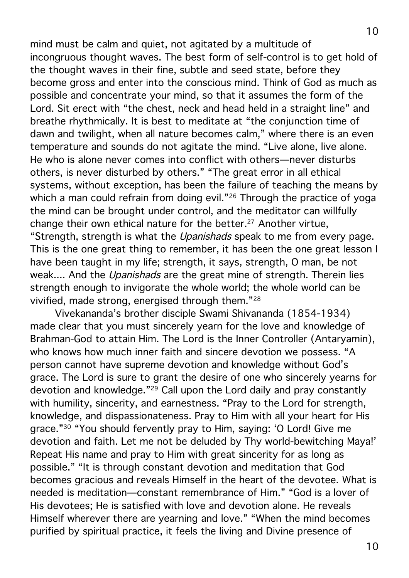mind must be calm and quiet, not agitated by a multitude of incongruous thought waves. The best form of self-control is to get hold of the thought waves in their fine, subtle and seed state, before they become gross and enter into the conscious mind. Think of God as much as possible and concentrate your mind, so that it assumes the form of the Lord. Sit erect with "the chest, neck and head held in a straight line" and breathe rhythmically. It is best to meditate at "the conjunction time of dawn and twilight, when all nature becomes calm," where there is an even temperature and sounds do not agitate the mind. "Live alone, live alone. He who is alone never comes into conflict with others—never disturbs others, is never disturbed by others." "The great error in all ethical systems, without exception, has been the failure of teaching the means by which a man could refrain from doing evil."<sup>26</sup> Through the practice of yoga the mind can be brought under control, and the meditator can willfully change their own ethical nature for the better.27 Another virtue, "Strength, strength is what the *Upanishads* speak to me from every page. This is the one great thing to remember, it has been the one great lesson I have been taught in my life; strength, it says, strength, O man, be not weak.... And the *Upanishads* are the great mine of strength. Therein lies strength enough to invigorate the whole world; the whole world can be vivified, made strong, energised through them."28

Vivekananda's brother disciple Swami Shivananda (1854-1934) made clear that you must sincerely yearn for the love and knowledge of Brahman-God to attain Him. The Lord is the Inner Controller (Antaryamin), who knows how much inner faith and sincere devotion we possess. "A person cannot have supreme devotion and knowledge without God's grace. The Lord is sure to grant the desire of one who sincerely yearns for devotion and knowledge."29 Call upon the Lord daily and pray constantly with humility, sincerity, and earnestness. "Pray to the Lord for strength, knowledge, and dispassionateness. Pray to Him with all your heart for His grace."30 "You should fervently pray to Him, saying: 'O Lord! Give me devotion and faith. Let me not be deluded by Thy world-bewitching Maya!' Repeat His name and pray to Him with great sincerity for as long as possible." "It is through constant devotion and meditation that God becomes gracious and reveals Himself in the heart of the devotee. What is needed is meditation—constant remembrance of Him." "God is a lover of His devotees; He is satisfied with love and devotion alone. He reveals Himself wherever there are yearning and love." "When the mind becomes purified by spiritual practice, it feels the living and Divine presence of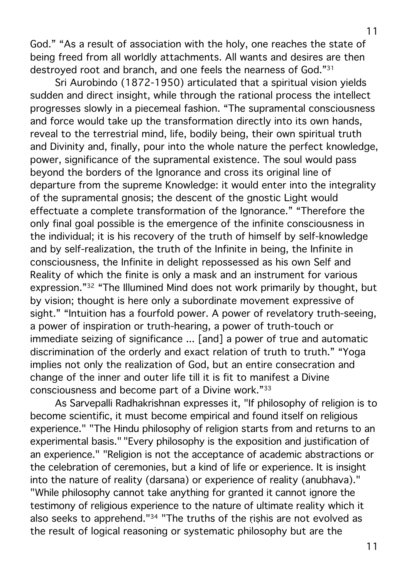God." "As a result of association with the holy, one reaches the state of being freed from all worldly attachments. All wants and desires are then destroyed root and branch, and one feels the nearness of God."31

Sri Aurobindo (1872-1950) articulated that a spiritual vision yields sudden and direct insight, while through the rational process the intellect progresses slowly in a piecemeal fashion. "The supramental consciousness and force would take up the transformation directly into its own hands, reveal to the terrestrial mind, life, bodily being, their own spiritual truth and Divinity and, finally, pour into the whole nature the perfect knowledge, power, significance of the supramental existence. The soul would pass beyond the borders of the Ignorance and cross its original line of departure from the supreme Knowledge: it would enter into the integrality of the supramental gnosis; the descent of the gnostic Light would effectuate a complete transformation of the Ignorance." "Therefore the only final goal possible is the emergence of the infinite consciousness in the individual; it is his recovery of the truth of himself by self-knowledge and by self-realization, the truth of the Infinite in being, the Infinite in consciousness, the Infinite in delight repossessed as his own Self and Reality of which the finite is only a mask and an instrument for various expression."32 "The Illumined Mind does not work primarily by thought, but by vision; thought is here only a subordinate movement expressive of sight." "Intuition has a fourfold power. A power of revelatory truth-seeing, a power of inspiration or truth-hearing, a power of truth-touch or immediate seizing of significance ... [and] a power of true and automatic discrimination of the orderly and exact relation of truth to truth." "Yoga implies not only the realization of God, but an entire consecration and change of the inner and outer life till it is fit to manifest a Divine consciousness and become part of a Divine work."33

As Sarvepalli Radhakrishnan expresses it, "If philosophy of religion is to become scientific, it must become empirical and found itself on religious experience." "The Hindu philosophy of religion starts from and returns to an experimental basis." "Every philosophy is the exposition and justification of an experience." "Religion is not the acceptance of academic abstractions or the celebration of ceremonies, but a kind of life or experience. It is insight into the nature of reality (darsana) or experience of reality (anubhava)." "While philosophy cannot take anything for granted it cannot ignore the testimony of religious experience to the nature of ultimate reality which it also seeks to apprehend."34 "The truths of the ṛiṣhis are not evolved as the result of logical reasoning or systematic philosophy but are the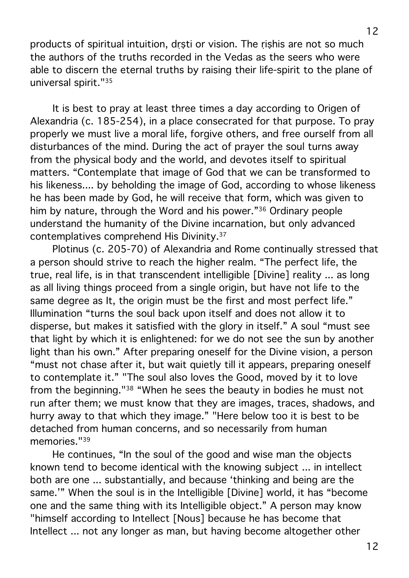products of spiritual intuition, drsti or vision. The rishis are not so much the authors of the truths recorded in the Vedas as the seers who were able to discern the eternal truths by raising their life-spirit to the plane of universal spirit."35

It is best to pray at least three times a day according to Origen of Alexandria (c. 185-254), in a place consecrated for that purpose. To pray properly we must live a moral life, forgive others, and free ourself from all disturbances of the mind. During the act of prayer the soul turns away from the physical body and the world, and devotes itself to spiritual matters. "Contemplate that image of God that we can be transformed to his likeness.... by beholding the image of God, according to whose likeness he has been made by God, he will receive that form, which was given to him by nature, through the Word and his power."36 Ordinary people understand the humanity of the Divine incarnation, but only advanced contemplatives comprehend His Divinity. 37

Plotinus (c. 205-70) of Alexandria and Rome continually stressed that a person should strive to reach the higher realm. "The perfect life, the true, real life, is in that transcendent intelligible [Divine] reality ... as long as all living things proceed from a single origin, but have not life to the same degree as It, the origin must be the first and most perfect life." Illumination "turns the soul back upon itself and does not allow it to disperse, but makes it satisfied with the glory in itself." A soul "must see that light by which it is enlightened: for we do not see the sun by another light than his own." After preparing oneself for the Divine vision, a person "must not chase after it, but wait quietly till it appears, preparing oneself to contemplate it." "The soul also loves the Good, moved by it to love from the beginning."38 "When he sees the beauty in bodies he must not run after them; we must know that they are images, traces, shadows, and hurry away to that which they image." "Here below too it is best to be detached from human concerns, and so necessarily from human memories."39

He continues, "In the soul of the good and wise man the objects known tend to become identical with the knowing subject ... in intellect both are one ... substantially, and because 'thinking and being are the same.'" When the soul is in the Intelligible [Divine] world, it has "become one and the same thing with its Intelligible object." A person may know "himself according to Intellect [Nous] because he has become that Intellect ... not any longer as man, but having become altogether other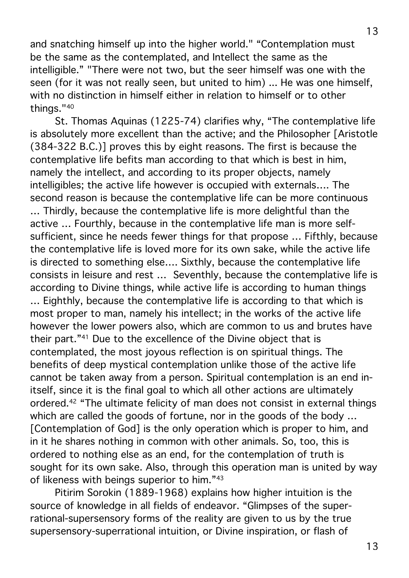and snatching himself up into the higher world." "Contemplation must be the same as the contemplated, and Intellect the same as the intelligible." "There were not two, but the seer himself was one with the seen (for it was not really seen, but united to him) ... He was one himself, with no distinction in himself either in relation to himself or to other things."40

St. Thomas Aquinas (1225-74) clarifies why, "The contemplative life is absolutely more excellent than the active; and the Philosopher [Aristotle (384-322 B.C.)] proves this by eight reasons. The first is because the contemplative life befits man according to that which is best in him, namely the intellect, and according to its proper objects, namely intelligibles; the active life however is occupied with externals…. The second reason is because the contemplative life can be more continuous … Thirdly, because the contemplative life is more delightful than the active … Fourthly, because in the contemplative life man is more selfsufficient, since he needs fewer things for that propose … Fifthly, because the contemplative life is loved more for its own sake, while the active life is directed to something else…. Sixthly, because the contemplative life consists in leisure and rest … Seventhly, because the contemplative life is according to Divine things, while active life is according to human things … Eighthly, because the contemplative life is according to that which is most proper to man, namely his intellect; in the works of the active life however the lower powers also, which are common to us and brutes have their part."41 Due to the excellence of the Divine object that is contemplated, the most joyous reflection is on spiritual things. The benefits of deep mystical contemplation unlike those of the active life cannot be taken away from a person. Spiritual contemplation is an end initself, since it is the final goal to which all other actions are ultimately ordered.42 "The ultimate felicity of man does not consist in external things which are called the goods of fortune, nor in the goods of the body … [Contemplation of God] is the only operation which is proper to him, and in it he shares nothing in common with other animals. So, too, this is ordered to nothing else as an end, for the contemplation of truth is sought for its own sake. Also, through this operation man is united by way of likeness with beings superior to him."43

Pitirim Sorokin (1889-1968) explains how higher intuition is the source of knowledge in all fields of endeavor. "Glimpses of the superrational-supersensory forms of the reality are given to us by the true supersensory-superrational intuition, or Divine inspiration, or flash of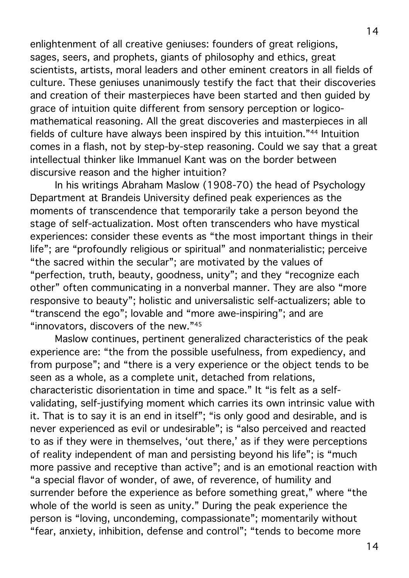enlightenment of all creative geniuses: founders of great religions, sages, seers, and prophets, giants of philosophy and ethics, great scientists, artists, moral leaders and other eminent creators in all fields of culture. These geniuses unanimously testify the fact that their discoveries and creation of their masterpieces have been started and then guided by grace of intuition quite different from sensory perception or logicomathematical reasoning. All the great discoveries and masterpieces in all fields of culture have always been inspired by this intuition."44 Intuition comes in a flash, not by step-by-step reasoning. Could we say that a great intellectual thinker like Immanuel Kant was on the border between discursive reason and the higher intuition?

In his writings Abraham Maslow (1908-70) the head of Psychology Department at Brandeis University defined peak experiences as the moments of transcendence that temporarily take a person beyond the stage of self-actualization. Most often transcenders who have mystical experiences: consider these events as "the most important things in their life"; are "profoundly religious or spiritual" and nonmaterialistic; perceive "the sacred within the secular"; are motivated by the values of "perfection, truth, beauty, goodness, unity"; and they "recognize each other" often communicating in a nonverbal manner. They are also "more responsive to beauty"; holistic and universalistic self-actualizers; able to "transcend the ego"; lovable and "more awe-inspiring"; and are "innovators, discovers of the new."45

Maslow continues, pertinent generalized characteristics of the peak experience are: "the from the possible usefulness, from expediency, and from purpose"; and "there is a very experience or the object tends to be seen as a whole, as a complete unit, detached from relations, characteristic disorientation in time and space." It "is felt as a selfvalidating, self-justifying moment which carries its own intrinsic value with it. That is to say it is an end in itself"; "is only good and desirable, and is never experienced as evil or undesirable"; is "also perceived and reacted to as if they were in themselves, 'out there,' as if they were perceptions of reality independent of man and persisting beyond his life"; is "much more passive and receptive than active"; and is an emotional reaction with "a special flavor of wonder, of awe, of reverence, of humility and surrender before the experience as before something great," where "the whole of the world is seen as unity." During the peak experience the person is "loving, uncondeming, compassionate"; momentarily without "fear, anxiety, inhibition, defense and control"; "tends to become more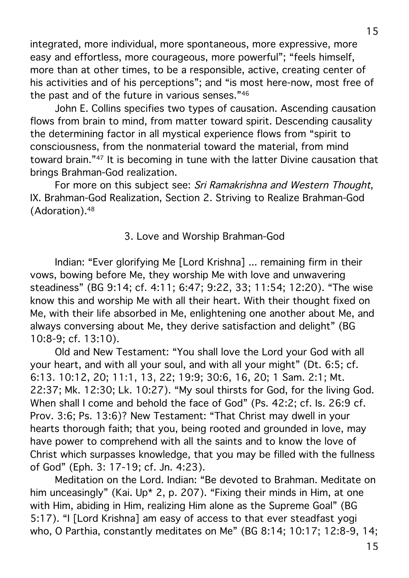integrated, more individual, more spontaneous, more expressive, more easy and effortless, more courageous, more powerful"; "feels himself, more than at other times, to be a responsible, active, creating center of his activities and of his perceptions"; and "is most here-now, most free of the past and of the future in various senses."46

John E. Collins specifies two types of causation. Ascending causation flows from brain to mind, from matter toward spirit. Descending causality the determining factor in all mystical experience flows from "spirit to consciousness, from the nonmaterial toward the material, from mind toward brain."47 It is becoming in tune with the latter Divine causation that brings Brahman-God realization.

For more on this subject see: Sri Ramakrishna and Western Thought, IX. Brahman-God Realization, Section 2. Striving to Realize Brahman-God (Adoration). 48

## 3. Love and Worship Brahman-God

Indian: "Ever glorifying Me [Lord Krishna] ... remaining firm in their vows, bowing before Me, they worship Me with love and unwavering steadiness" (BG 9:14; cf. 4:11; 6:47; 9:22, 33; 11:54; 12:20). "The wise know this and worship Me with all their heart. With their thought fixed on Me, with their life absorbed in Me, enlightening one another about Me, and always conversing about Me, they derive satisfaction and delight" (BG 10:8-9; cf. 13:10).

Old and New Testament: "You shall love the Lord your God with all your heart, and with all your soul, and with all your might" (Dt. 6:5; cf. 6:13. 10:12, 20; 11:1, 13, 22; 19:9; 30:6, 16, 20; 1 Sam. 2:1; Mt. 22:37; Mk. 12:30; Lk. 10:27). "My soul thirsts for God, for the living God. When shall I come and behold the face of God" (Ps. 42:2; cf. Is. 26:9 cf. Prov. 3:6; Ps. 13:6)? New Testament: "That Christ may dwell in your hearts thorough faith; that you, being rooted and grounded in love, may have power to comprehend with all the saints and to know the love of Christ which surpasses knowledge, that you may be filled with the fullness of God" (Eph. 3: 17-19; cf. Jn. 4:23).

Meditation on the Lord. Indian: "Be devoted to Brahman. Meditate on him unceasingly" (Kai. Up<sup>\*</sup> 2, p. 207). "Fixing their minds in Him, at one with Him, abiding in Him, realizing Him alone as the Supreme Goal" (BG 5:17). "I [Lord Krishna] am easy of access to that ever steadfast yogi who, O Parthia, constantly meditates on Me" (BG 8:14; 10:17; 12:8-9, 14;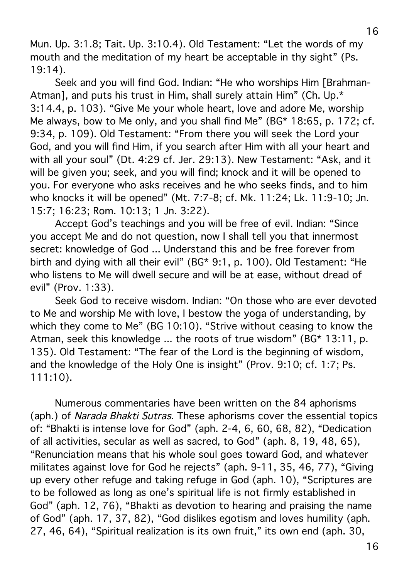Mun. Up. 3:1.8; Tait. Up. 3:10.4). Old Testament: "Let the words of my mouth and the meditation of my heart be acceptable in thy sight" (Ps. 19:14).

Seek and you will find God. Indian: "He who worships Him [Brahman-Atman], and puts his trust in Him, shall surely attain Him" (Ch. Up.\* 3:14.4, p. 103). "Give Me your whole heart, love and adore Me, worship Me always, bow to Me only, and you shall find Me" (BG\* 18:65, p. 172; cf. 9:34, p. 109). Old Testament: "From there you will seek the Lord your God, and you will find Him, if you search after Him with all your heart and with all your soul" (Dt. 4:29 cf. Jer. 29:13). New Testament: "Ask, and it will be given you; seek, and you will find; knock and it will be opened to you. For everyone who asks receives and he who seeks finds, and to him who knocks it will be opened" (Mt. 7:7-8; cf. Mk. 11:24; Lk. 11:9-10; Jn. 15:7; 16:23; Rom. 10:13; 1 Jn. 3:22).

Accept God's teachings and you will be free of evil. Indian: "Since you accept Me and do not question, now I shall tell you that innermost secret: knowledge of God ... Understand this and be free forever from birth and dying with all their evil" (BG\* 9:1, p. 100). Old Testament: "He who listens to Me will dwell secure and will be at ease, without dread of evil" (Prov. 1:33).

Seek God to receive wisdom. Indian: "On those who are ever devoted to Me and worship Me with love, I bestow the yoga of understanding, by which they come to Me" (BG 10:10). "Strive without ceasing to know the Atman, seek this knowledge ... the roots of true wisdom" (BG\* 13:11, p. 135). Old Testament: "The fear of the Lord is the beginning of wisdom, and the knowledge of the Holy One is insight" (Prov. 9:10; cf. 1:7; Ps. 111:10).

Numerous commentaries have been written on the 84 aphorisms (aph.) of Narada Bhakti Sutras. These aphorisms cover the essential topics of: "Bhakti is intense love for God" (aph. 2-4, 6, 60, 68, 82), "Dedication of all activities, secular as well as sacred, to God" (aph. 8, 19, 48, 65), "Renunciation means that his whole soul goes toward God, and whatever militates against love for God he rejects" (aph. 9-11, 35, 46, 77), "Giving up every other refuge and taking refuge in God (aph. 10), "Scriptures are to be followed as long as one's spiritual life is not firmly established in God" (aph. 12, 76), "Bhakti as devotion to hearing and praising the name of God" (aph. 17, 37, 82), "God dislikes egotism and loves humility (aph. 27, 46, 64), "Spiritual realization is its own fruit," its own end (aph. 30,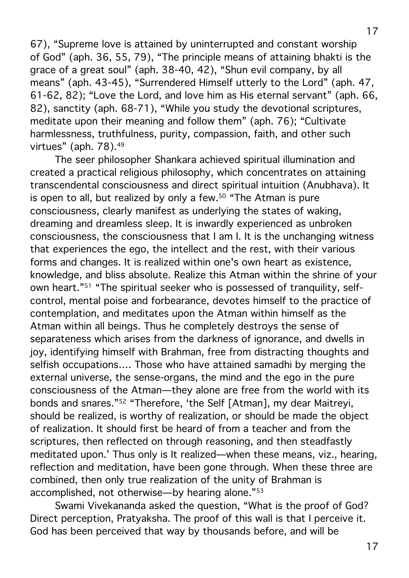67), "Supreme love is attained by uninterrupted and constant worship of God" (aph. 36, 55, 79), "The principle means of attaining bhakti is the grace of a great soul" (aph. 38-40, 42), "Shun evil company, by all means" (aph. 43-45), "Surrendered Himself utterly to the Lord" (aph. 47, 61-62, 82); "Love the Lord, and love him as His eternal servant" (aph. 66, 82), sanctity (aph. 68-71), "While you study the devotional scriptures, meditate upon their meaning and follow them" (aph. 76); "Cultivate harmlessness, truthfulness, purity, compassion, faith, and other such virtues" (aph. 78).49

The seer philosopher Shankara achieved spiritual illumination and created a practical religious philosophy, which concentrates on attaining transcendental consciousness and direct spiritual intuition (Anubhava). It is open to all, but realized by only a few.50 "The Atman is pure consciousness, clearly manifest as underlying the states of waking, dreaming and dreamless sleep. It is inwardly experienced as unbroken consciousness, the consciousness that I am I. It is the unchanging witness that experiences the ego, the intellect and the rest, with their various forms and changes. It is realized within one's own heart as existence, knowledge, and bliss absolute. Realize this Atman within the shrine of your own heart."51 "The spiritual seeker who is possessed of tranquility, selfcontrol, mental poise and forbearance, devotes himself to the practice of contemplation, and meditates upon the Atman within himself as the Atman within all beings. Thus he completely destroys the sense of separateness which arises from the darkness of ignorance, and dwells in joy, identifying himself with Brahman, free from distracting thoughts and selfish occupations…. Those who have attained samadhi by merging the external universe, the sense-organs, the mind and the ego in the pure consciousness of the Atman—they alone are free from the world with its bonds and snares."52 "Therefore, 'the Self [Atman], my dear Maitreyi, should be realized, is worthy of realization, or should be made the object of realization. It should first be heard of from a teacher and from the scriptures, then reflected on through reasoning, and then steadfastly meditated upon.' Thus only is It realized—when these means, viz., hearing, reflection and meditation, have been gone through. When these three are combined, then only true realization of the unity of Brahman is accomplished, not otherwise—by hearing alone."53

Swami Vivekananda asked the question, "What is the proof of God? Direct perception, Pratyaksha. The proof of this wall is that I perceive it. God has been perceived that way by thousands before, and will be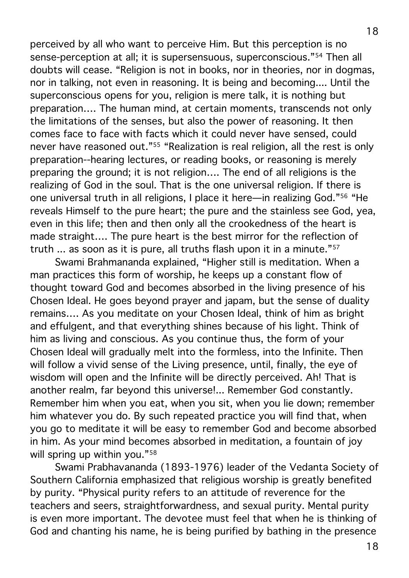perceived by all who want to perceive Him. But this perception is no sense-perception at all; it is supersensuous, superconscious."54 Then all doubts will cease. "Religion is not in books, nor in theories, nor in dogmas, nor in talking, not even in reasoning. It is being and becoming.... Until the superconscious opens for you, religion is mere talk, it is nothing but preparation…. The human mind, at certain moments, transcends not only the limitations of the senses, but also the power of reasoning. It then comes face to face with facts which it could never have sensed, could never have reasoned out."55 "Realization is real religion, all the rest is only preparation--hearing lectures, or reading books, or reasoning is merely preparing the ground; it is not religion…. The end of all religions is the realizing of God in the soul. That is the one universal religion. If there is one universal truth in all religions, I place it here—in realizing God."56 "He reveals Himself to the pure heart; the pure and the stainless see God, yea, even in this life; then and then only all the crookedness of the heart is made straight…. The pure heart is the best mirror for the reflection of truth ... as soon as it is pure, all truths flash upon it in a minute."57

Swami Brahmananda explained, "Higher still is meditation. When a man practices this form of worship, he keeps up a constant flow of thought toward God and becomes absorbed in the living presence of his Chosen Ideal. He goes beyond prayer and japam, but the sense of duality remains…. As you meditate on your Chosen Ideal, think of him as bright and effulgent, and that everything shines because of his light. Think of him as living and conscious. As you continue thus, the form of your Chosen Ideal will gradually melt into the formless, into the Infinite. Then will follow a vivid sense of the Living presence, until, finally, the eye of wisdom will open and the Infinite will be directly perceived. Ah! That is another realm, far beyond this universe!... Remember God constantly. Remember him when you eat, when you sit, when you lie down; remember him whatever you do. By such repeated practice you will find that, when you go to meditate it will be easy to remember God and become absorbed in him. As your mind becomes absorbed in meditation, a fountain of joy will spring up within you."<sup>58</sup>

Swami Prabhavananda (1893-1976) leader of the Vedanta Society of Southern California emphasized that religious worship is greatly benefited by purity. "Physical purity refers to an attitude of reverence for the teachers and seers, straightforwardness, and sexual purity. Mental purity is even more important. The devotee must feel that when he is thinking of God and chanting his name, he is being purified by bathing in the presence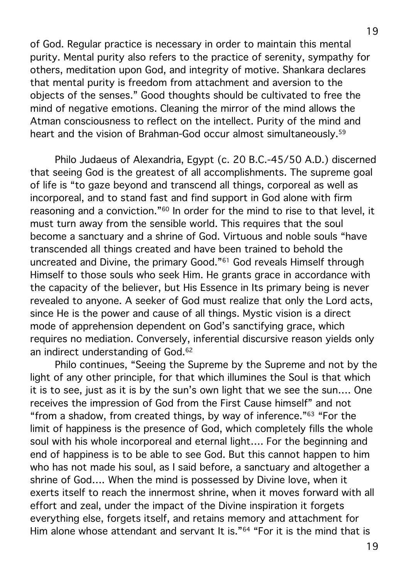of God. Regular practice is necessary in order to maintain this mental purity. Mental purity also refers to the practice of serenity, sympathy for others, meditation upon God, and integrity of motive. Shankara declares that mental purity is freedom from attachment and aversion to the objects of the senses." Good thoughts should be cultivated to free the mind of negative emotions. Cleaning the mirror of the mind allows the Atman consciousness to reflect on the intellect. Purity of the mind and heart and the vision of Brahman-God occur almost simultaneously.<sup>59</sup>

Philo Judaeus of Alexandria, Egypt (c. 20 B.C.-45/50 A.D.) discerned that seeing God is the greatest of all accomplishments. The supreme goal of life is "to gaze beyond and transcend all things, corporeal as well as incorporeal, and to stand fast and find support in God alone with firm reasoning and a conviction."60 In order for the mind to rise to that level, it must turn away from the sensible world. This requires that the soul become a sanctuary and a shrine of God. Virtuous and noble souls "have transcended all things created and have been trained to behold the uncreated and Divine, the primary Good."61 God reveals Himself through Himself to those souls who seek Him. He grants grace in accordance with the capacity of the believer, but His Essence in Its primary being is never revealed to anyone. A seeker of God must realize that only the Lord acts, since He is the power and cause of all things. Mystic vision is a direct mode of apprehension dependent on God's sanctifying grace, which requires no mediation. Conversely, inferential discursive reason yields only an indirect understanding of God.62

Philo continues, "Seeing the Supreme by the Supreme and not by the light of any other principle, for that which illumines the Soul is that which it is to see, just as it is by the sun's own light that we see the sun…. One receives the impression of God from the First Cause himself" and not "from a shadow, from created things, by way of inference."63 "For the limit of happiness is the presence of God, which completely fills the whole soul with his whole incorporeal and eternal light…. For the beginning and end of happiness is to be able to see God. But this cannot happen to him who has not made his soul, as I said before, a sanctuary and altogether a shrine of God…. When the mind is possessed by Divine love, when it exerts itself to reach the innermost shrine, when it moves forward with all effort and zeal, under the impact of the Divine inspiration it forgets everything else, forgets itself, and retains memory and attachment for Him alone whose attendant and servant It is."<sup>64</sup> "For it is the mind that is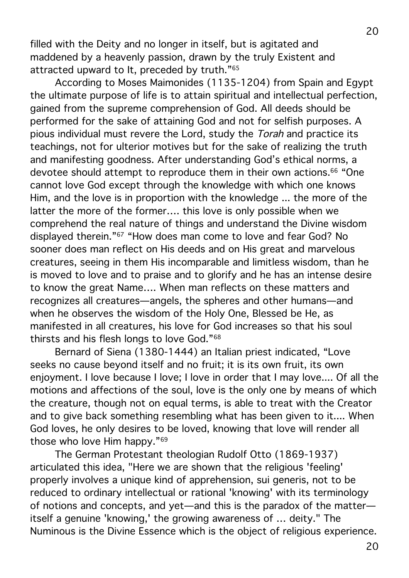filled with the Deity and no longer in itself, but is agitated and maddened by a heavenly passion, drawn by the truly Existent and attracted upward to It, preceded by truth."65

According to Moses Maimonides (1135-1204) from Spain and Egypt the ultimate purpose of life is to attain spiritual and intellectual perfection, gained from the supreme comprehension of God. All deeds should be performed for the sake of attaining God and not for selfish purposes. A pious individual must revere the Lord, study the Torah and practice its teachings, not for ulterior motives but for the sake of realizing the truth and manifesting goodness. After understanding God's ethical norms, a devotee should attempt to reproduce them in their own actions.66 "One cannot love God except through the knowledge with which one knows Him, and the love is in proportion with the knowledge ... the more of the latter the more of the former…. this love is only possible when we comprehend the real nature of things and understand the Divine wisdom displayed therein."67 "How does man come to love and fear God? No sooner does man reflect on His deeds and on His great and marvelous creatures, seeing in them His incomparable and limitless wisdom, than he is moved to love and to praise and to glorify and he has an intense desire to know the great Name…. When man reflects on these matters and recognizes all creatures—angels, the spheres and other humans—and when he observes the wisdom of the Holy One, Blessed be He, as manifested in all creatures, his love for God increases so that his soul thirsts and his flesh longs to love God."68

Bernard of Siena (1380-1444) an Italian priest indicated, "Love seeks no cause beyond itself and no fruit; it is its own fruit, its own enjoyment. I love because I love; I love in order that I may love.... Of all the motions and affections of the soul, love is the only one by means of which the creature, though not on equal terms, is able to treat with the Creator and to give back something resembling what has been given to it.... When God loves, he only desires to be loved, knowing that love will render all those who love Him happy."69

The German Protestant theologian Rudolf Otto (1869-1937) articulated this idea, "Here we are shown that the religious 'feeling' properly involves a unique kind of apprehension, sui generis, not to be reduced to ordinary intellectual or rational 'knowing' with its terminology of notions and concepts, and yet—and this is the paradox of the matter itself a genuine 'knowing,' the growing awareness of … deity." The Numinous is the Divine Essence which is the object of religious experience.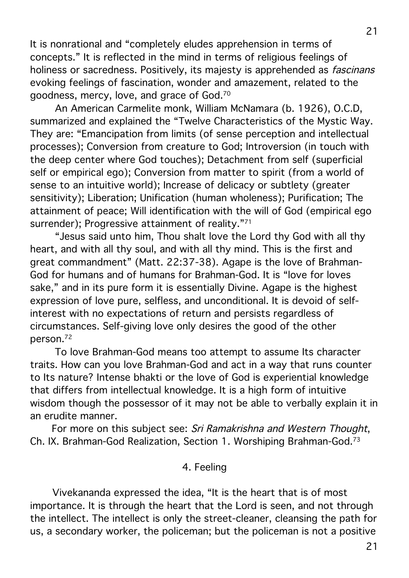It is nonrational and "completely eludes apprehension in terms of concepts." It is reflected in the mind in terms of religious feelings of holiness or sacredness. Positively, its majesty is apprehended as *fascinans* evoking feelings of fascination, wonder and amazement, related to the goodness, mercy, love, and grace of God.70

An American Carmelite monk, William McNamara (b. 1926), O.C.D, summarized and explained the "Twelve Characteristics of the Mystic Way. They are: "Emancipation from limits (of sense perception and intellectual processes); Conversion from creature to God; Introversion (in touch with the deep center where God touches); Detachment from self (superficial self or empirical ego); Conversion from matter to spirit (from a world of sense to an intuitive world); Increase of delicacy or subtlety (greater sensitivity); Liberation; Unification (human wholeness); Purification; The attainment of peace; Will identification with the will of God (empirical ego surrender); Progressive attainment of reality."<sup>71</sup>

"Jesus said unto him, Thou shalt love the Lord thy God with all thy heart, and with all thy soul, and with all thy mind. This is the first and great commandment" (Matt. 22:37-38). Agape is the love of Brahman-God for humans and of humans for Brahman-God. It is "love for loves sake," and in its pure form it is essentially Divine. Agape is the highest expression of love pure, selfless, and unconditional. It is devoid of selfinterest with no expectations of return and persists regardless of circumstances. Self-giving love only desires the good of the other person.72

To love Brahman-God means too attempt to assume Its character traits. How can you love Brahman-God and act in a way that runs counter to Its nature? Intense bhakti or the love of God is experiential knowledge that differs from intellectual knowledge. It is a high form of intuitive wisdom though the possessor of it may not be able to verbally explain it in an erudite manner.

For more on this subject see: Sri Ramakrishna and Western Thought, Ch. IX. Brahman-God Realization, Section 1. Worshiping Brahman-God.73

## 4. Feeling

Vivekananda expressed the idea, "It is the heart that is of most importance. It is through the heart that the Lord is seen, and not through the intellect. The intellect is only the street-cleaner, cleansing the path for us, a secondary worker, the policeman; but the policeman is not a positive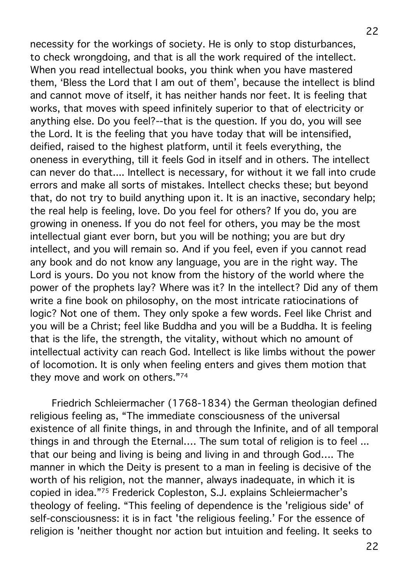necessity for the workings of society. He is only to stop disturbances, to check wrongdoing, and that is all the work required of the intellect. When you read intellectual books, you think when you have mastered them, 'Bless the Lord that I am out of them', because the intellect is blind and cannot move of itself, it has neither hands nor feet. It is feeling that works, that moves with speed infinitely superior to that of electricity or anything else. Do you feel?--that is the question. If you do, you will see the Lord. It is the feeling that you have today that will be intensified, deified, raised to the highest platform, until it feels everything, the oneness in everything, till it feels God in itself and in others. The intellect can never do that.... Intellect is necessary, for without it we fall into crude errors and make all sorts of mistakes. Intellect checks these; but beyond that, do not try to build anything upon it. It is an inactive, secondary help; the real help is feeling, love. Do you feel for others? If you do, you are growing in oneness. If you do not feel for others, you may be the most intellectual giant ever born, but you will be nothing; you are but dry intellect, and you will remain so. And if you feel, even if you cannot read any book and do not know any language, you are in the right way. The Lord is yours. Do you not know from the history of the world where the power of the prophets lay? Where was it? In the intellect? Did any of them write a fine book on philosophy, on the most intricate ratiocinations of logic? Not one of them. They only spoke a few words. Feel like Christ and you will be a Christ; feel like Buddha and you will be a Buddha. It is feeling that is the life, the strength, the vitality, without which no amount of intellectual activity can reach God. Intellect is like limbs without the power of locomotion. It is only when feeling enters and gives them motion that they move and work on others."74

Friedrich Schleiermacher (1768-1834) the German theologian defined religious feeling as, "The immediate consciousness of the universal existence of all finite things, in and through the Infinite, and of all temporal things in and through the Eternal…. The sum total of religion is to feel ... that our being and living is being and living in and through God…. The manner in which the Deity is present to a man in feeling is decisive of the worth of his religion, not the manner, always inadequate, in which it is copied in idea."75 Frederick Copleston, S.J. explains Schleiermacher's theology of feeling. "This feeling of dependence is the 'religious side' of self-consciousness: it is in fact 'the religious feeling.' For the essence of religion is 'neither thought nor action but intuition and feeling. It seeks to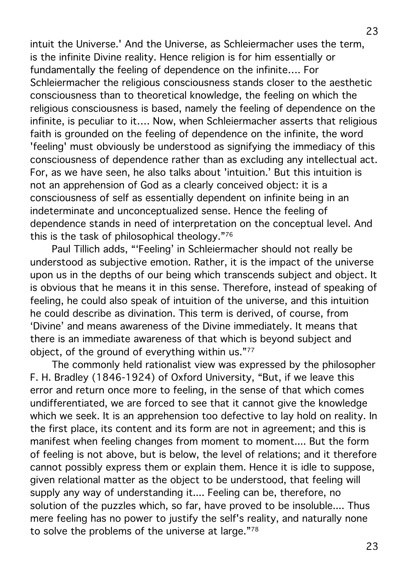intuit the Universe.' And the Universe, as Schleiermacher uses the term, is the infinite Divine reality. Hence religion is for him essentially or fundamentally the feeling of dependence on the infinite…. For Schleiermacher the religious consciousness stands closer to the aesthetic consciousness than to theoretical knowledge, the feeling on which the religious consciousness is based, namely the feeling of dependence on the infinite, is peculiar to it…. Now, when Schleiermacher asserts that religious faith is grounded on the feeling of dependence on the infinite, the word 'feeling' must obviously be understood as signifying the immediacy of this consciousness of dependence rather than as excluding any intellectual act. For, as we have seen, he also talks about 'intuition.' But this intuition is not an apprehension of God as a clearly conceived object: it is a consciousness of self as essentially dependent on infinite being in an indeterminate and unconceptualized sense. Hence the feeling of dependence stands in need of interpretation on the conceptual level. And this is the task of philosophical theology."76

Paul Tillich adds, "'Feeling' in Schleiermacher should not really be understood as subjective emotion. Rather, it is the impact of the universe upon us in the depths of our being which transcends subject and object. It is obvious that he means it in this sense. Therefore, instead of speaking of feeling, he could also speak of intuition of the universe, and this intuition he could describe as divination. This term is derived, of course, from 'Divine' and means awareness of the Divine immediately. It means that there is an immediate awareness of that which is beyond subject and object, of the ground of everything within us."77

The commonly held rationalist view was expressed by the philosopher F. H. Bradley (1846-1924) of Oxford University, "But, if we leave this error and return once more to feeling, in the sense of that which comes undifferentiated, we are forced to see that it cannot give the knowledge which we seek. It is an apprehension too defective to lay hold on reality. In the first place, its content and its form are not in agreement; and this is manifest when feeling changes from moment to moment.... But the form of feeling is not above, but is below, the level of relations; and it therefore cannot possibly express them or explain them. Hence it is idle to suppose, given relational matter as the object to be understood, that feeling will supply any way of understanding it.... Feeling can be, therefore, no solution of the puzzles which, so far, have proved to be insoluble.... Thus mere feeling has no power to justify the self's reality, and naturally none to solve the problems of the universe at large."78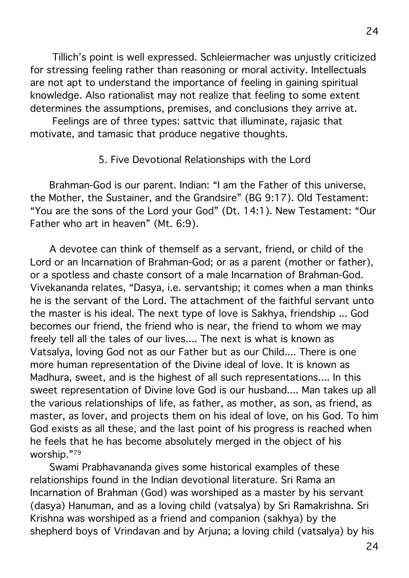Tillich's point is well expressed. Schleiermacher was unjustly criticized for stressing feeling rather than reasoning or moral activity. Intellectuals are not apt to understand the importance of feeling in gaining spiritual knowledge. Also rationalist may not realize that feeling to some extent determines the assumptions, premises, and conclusions they arrive at.

Feelings are of three types: sattvic that illuminate, rajasic that motivate, and tamasic that produce negative thoughts.

# 5. Five Devotional Relationships with the Lord

Brahman-God is our parent. Indian: "I am the Father of this universe, the Mother, the Sustainer, and the Grandsire" (BG 9:17). Old Testament: "You are the sons of the Lord your God" (Dt. 14:1). New Testament: "Our Father who art in heaven" (Mt. 6:9).

A devotee can think of themself as a servant, friend, or child of the Lord or an Incarnation of Brahman-God; or as a parent (mother or father), or a spotless and chaste consort of a male Incarnation of Brahman-God. Vivekananda relates, "Dasya, i.e. servantship; it comes when a man thinks he is the servant of the Lord. The attachment of the faithful servant unto the master is his ideal. The next type of love is Sakhya, friendship ... God becomes our friend, the friend who is near, the friend to whom we may freely tell all the tales of our lives.... The next is what is known as Vatsalya, loving God not as our Father but as our Child.... There is one more human representation of the Divine ideal of love. It is known as Madhura, sweet, and is the highest of all such representations.... In this sweet representation of Divine love God is our husband.... Man takes up all the various relationships of life, as father, as mother, as son, as friend, as master, as lover, and projects them on his ideal of love, on his God. To him God exists as all these, and the last point of his progress is reached when he feels that he has become absolutely merged in the object of his worship."79

Swami Prabhavananda gives some historical examples of these relationships found in the Indian devotional literature. Sri Rama an Incarnation of Brahman (God) was worshiped as a master by his servant (dasya) Hanuman, and as a loving child (vatsalya) by Sri Ramakrishna. Sri Krishna was worshiped as a friend and companion (sakhya) by the shepherd boys of Vrindavan and by Arjuna; a loving child (vatsalya) by his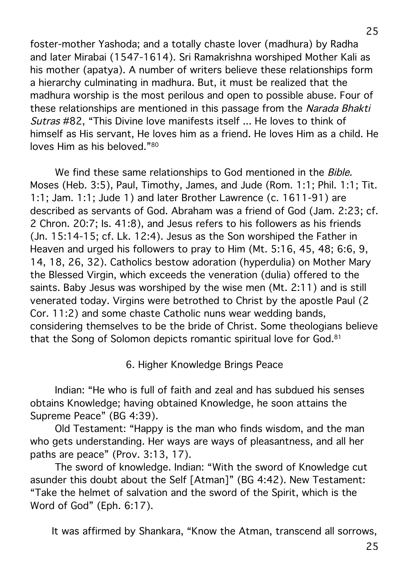foster-mother Yashoda; and a totally chaste lover (madhura) by Radha and later Mirabai (1547-1614). Sri Ramakrishna worshiped Mother Kali as his mother (apatya). A number of writers believe these relationships form a hierarchy culminating in madhura. But, it must be realized that the madhura worship is the most perilous and open to possible abuse. Four of these relationships are mentioned in this passage from the Narada Bhakti Sutras #82, "This Divine love manifests itself ... He loves to think of himself as His servant, He loves him as a friend. He loves Him as a child. He loves Him as his beloved."80

We find these same relationships to God mentioned in the *Bible*. Moses (Heb. 3:5), Paul, Timothy, James, and Jude (Rom. 1:1; Phil. 1:1; Tit. 1:1; Jam. 1:1; Jude 1) and later Brother Lawrence (c. 1611-91) are described as servants of God. Abraham was a friend of God (Jam. 2:23; cf. 2 Chron. 20:7; Is. 41:8), and Jesus refers to his followers as his friends (Jn. 15:14-15; cf. Lk. 12:4). Jesus as the Son worshiped the Father in Heaven and urged his followers to pray to Him (Mt. 5:16, 45, 48; 6:6, 9, 14, 18, 26, 32). Catholics bestow adoration (hyperdulia) on Mother Mary the Blessed Virgin, which exceeds the veneration (dulia) offered to the saints. Baby Jesus was worshiped by the wise men (Mt. 2:11) and is still venerated today. Virgins were betrothed to Christ by the apostle Paul (2 Cor. 11:2) and some chaste Catholic nuns wear wedding bands, considering themselves to be the bride of Christ. Some theologians believe that the Song of Solomon depicts romantic spiritual love for God.<sup>81</sup>

6. Higher Knowledge Brings Peace

Indian: "He who is full of faith and zeal and has subdued his senses obtains Knowledge; having obtained Knowledge, he soon attains the Supreme Peace" (BG 4:39).

Old Testament: "Happy is the man who finds wisdom, and the man who gets understanding. Her ways are ways of pleasantness, and all her paths are peace" (Prov. 3:13, 17).

The sword of knowledge. Indian: "With the sword of Knowledge cut asunder this doubt about the Self [Atman]" (BG 4:42). New Testament: "Take the helmet of salvation and the sword of the Spirit, which is the Word of God" (Eph. 6:17).

It was affirmed by Shankara, "Know the Atman, transcend all sorrows,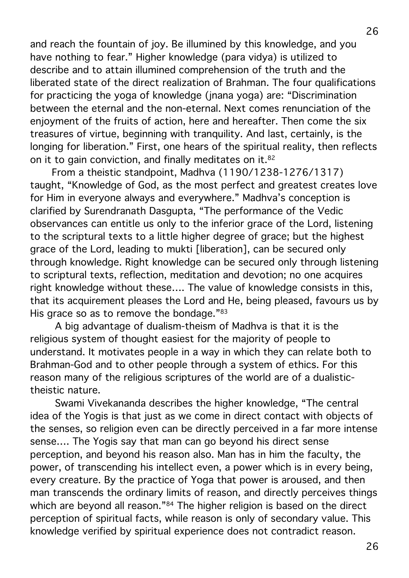and reach the fountain of joy. Be illumined by this knowledge, and you have nothing to fear." Higher knowledge (para vidya) is utilized to describe and to attain illumined comprehension of the truth and the liberated state of the direct realization of Brahman. The four qualifications for practicing the yoga of knowledge (jnana yoga) are: "Discrimination between the eternal and the non-eternal. Next comes renunciation of the enjoyment of the fruits of action, here and hereafter. Then come the six treasures of virtue, beginning with tranquility. And last, certainly, is the longing for liberation." First, one hears of the spiritual reality, then reflects on it to gain conviction, and finally meditates on it.<sup>82</sup>

From a theistic standpoint, Madhva (1190/1238-1276/1317) taught, "Knowledge of God, as the most perfect and greatest creates love for Him in everyone always and everywhere." Madhva's conception is clarified by Surendranath Dasgupta, "The performance of the Vedic observances can entitle us only to the inferior grace of the Lord, listening to the scriptural texts to a little higher degree of grace; but the highest grace of the Lord, leading to mukti [liberation], can be secured only through knowledge. Right knowledge can be secured only through listening to scriptural texts, reflection, meditation and devotion; no one acquires right knowledge without these…. The value of knowledge consists in this, that its acquirement pleases the Lord and He, being pleased, favours us by His grace so as to remove the bondage."83

A big advantage of dualism-theism of Madhva is that it is the religious system of thought easiest for the majority of people to understand. It motivates people in a way in which they can relate both to Brahman-God and to other people through a system of ethics. For this reason many of the religious scriptures of the world are of a dualistictheistic nature.

Swami Vivekananda describes the higher knowledge, "The central idea of the Yogis is that just as we come in direct contact with objects of the senses, so religion even can be directly perceived in a far more intense sense…. The Yogis say that man can go beyond his direct sense perception, and beyond his reason also. Man has in him the faculty, the power, of transcending his intellect even, a power which is in every being, every creature. By the practice of Yoga that power is aroused, and then man transcends the ordinary limits of reason, and directly perceives things which are beyond all reason."<sup>84</sup> The higher religion is based on the direct perception of spiritual facts, while reason is only of secondary value. This knowledge verified by spiritual experience does not contradict reason.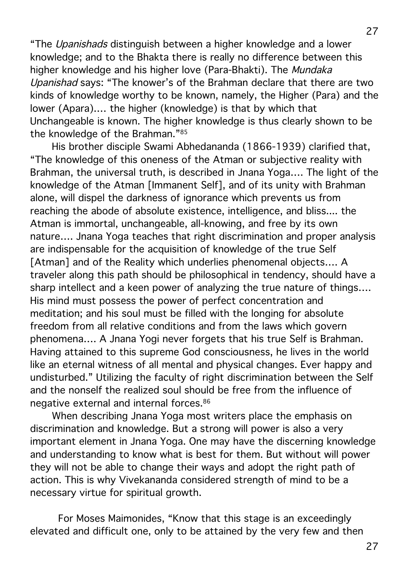"The Upanishads distinguish between a higher knowledge and a lower knowledge; and to the Bhakta there is really no difference between this higher knowledge and his higher love (Para-Bhakti). The Mundaka Upanishad says: "The knower's of the Brahman declare that there are two kinds of knowledge worthy to be known, namely, the Higher (Para) and the lower (Apara).… the higher (knowledge) is that by which that Unchangeable is known. The higher knowledge is thus clearly shown to be the knowledge of the Brahman."85

His brother disciple Swami Abhedananda (1866-1939) clarified that, "The knowledge of this oneness of the Atman or subjective reality with Brahman, the universal truth, is described in Jnana Yoga…. The light of the knowledge of the Atman [Immanent Self], and of its unity with Brahman alone, will dispel the darkness of ignorance which prevents us from reaching the abode of absolute existence, intelligence, and bliss.... the Atman is immortal, unchangeable, all-knowing, and free by its own nature.... Jnana Yoga teaches that right discrimination and proper analysis are indispensable for the acquisition of knowledge of the true Self [Atman] and of the Reality which underlies phenomenal objects.... A traveler along this path should be philosophical in tendency, should have a sharp intellect and a keen power of analyzing the true nature of things…. His mind must possess the power of perfect concentration and meditation; and his soul must be filled with the longing for absolute freedom from all relative conditions and from the laws which govern phenomena…. A Jnana Yogi never forgets that his true Self is Brahman. Having attained to this supreme God consciousness, he lives in the world like an eternal witness of all mental and physical changes. Ever happy and undisturbed." Utilizing the faculty of right discrimination between the Self and the nonself the realized soul should be free from the influence of negative external and internal forces.86

When describing Jnana Yoga most writers place the emphasis on discrimination and knowledge. But a strong will power is also a very important element in Jnana Yoga. One may have the discerning knowledge and understanding to know what is best for them. But without will power they will not be able to change their ways and adopt the right path of action. This is why Vivekananda considered strength of mind to be a necessary virtue for spiritual growth.

 For Moses Maimonides, "Know that this stage is an exceedingly elevated and difficult one, only to be attained by the very few and then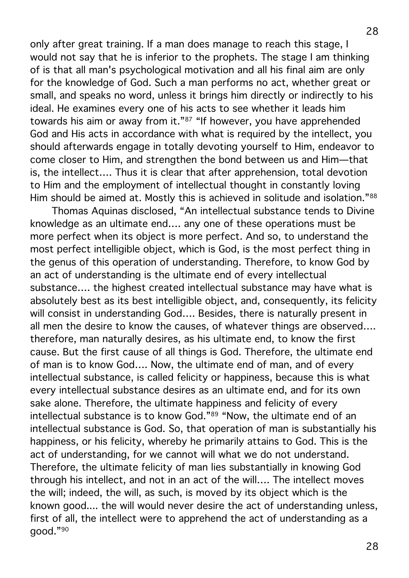only after great training. If a man does manage to reach this stage, I would not say that he is inferior to the prophets. The stage I am thinking of is that all man's psychological motivation and all his final aim are only for the knowledge of God. Such a man performs no act, whether great or small, and speaks no word, unless it brings him directly or indirectly to his ideal. He examines every one of his acts to see whether it leads him towards his aim or away from it."<sup>87</sup> "If however, you have apprehended God and His acts in accordance with what is required by the intellect, you should afterwards engage in totally devoting yourself to Him, endeavor to come closer to Him, and strengthen the bond between us and Him—that is, the intellect…. Thus it is clear that after apprehension, total devotion to Him and the employment of intellectual thought in constantly loving Him should be aimed at. Mostly this is achieved in solitude and isolation."<sup>88</sup>

Thomas Aquinas disclosed, "An intellectual substance tends to Divine knowledge as an ultimate end…. any one of these operations must be more perfect when its object is more perfect. And so, to understand the most perfect intelligible object, which is God, is the most perfect thing in the genus of this operation of understanding. Therefore, to know God by an act of understanding is the ultimate end of every intellectual substance…. the highest created intellectual substance may have what is absolutely best as its best intelligible object, and, consequently, its felicity will consist in understanding God…. Besides, there is naturally present in all men the desire to know the causes, of whatever things are observed…. therefore, man naturally desires, as his ultimate end, to know the first cause. But the first cause of all things is God. Therefore, the ultimate end of man is to know God…. Now, the ultimate end of man, and of every intellectual substance, is called felicity or happiness, because this is what every intellectual substance desires as an ultimate end, and for its own sake alone. Therefore, the ultimate happiness and felicity of every intellectual substance is to know God."89 "Now, the ultimate end of an intellectual substance is God. So, that operation of man is substantially his happiness, or his felicity, whereby he primarily attains to God. This is the act of understanding, for we cannot will what we do not understand. Therefore, the ultimate felicity of man lies substantially in knowing God through his intellect, and not in an act of the will…. The intellect moves the will; indeed, the will, as such, is moved by its object which is the known good.... the will would never desire the act of understanding unless, first of all, the intellect were to apprehend the act of understanding as a good."90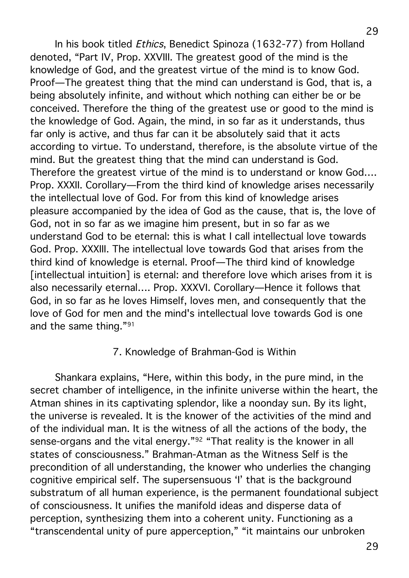In his book titled Ethics, Benedict Spinoza (1632-77) from Holland denoted, "Part IV, Prop. XXVIII. The greatest good of the mind is the knowledge of God, and the greatest virtue of the mind is to know God. Proof—The greatest thing that the mind can understand is God, that is, a being absolutely infinite, and without which nothing can either be or be conceived. Therefore the thing of the greatest use or good to the mind is the knowledge of God. Again, the mind, in so far as it understands, thus far only is active, and thus far can it be absolutely said that it acts according to virtue. To understand, therefore, is the absolute virtue of the mind. But the greatest thing that the mind can understand is God. Therefore the greatest virtue of the mind is to understand or know God…. Prop. XXXII. Corollary—From the third kind of knowledge arises necessarily the intellectual love of God. For from this kind of knowledge arises pleasure accompanied by the idea of God as the cause, that is, the love of God, not in so far as we imagine him present, but in so far as we understand God to be eternal: this is what I call intellectual love towards God. Prop. XXXIII. The intellectual love towards God that arises from the third kind of knowledge is eternal. Proof—The third kind of knowledge [intellectual intuition] is eternal: and therefore love which arises from it is also necessarily eternal…. Prop. XXXVI. Corollary—Hence it follows that God, in so far as he loves Himself, loves men, and consequently that the love of God for men and the mind's intellectual love towards God is one and the same thing."91

### 7. Knowledge of Brahman-God is Within

Shankara explains, "Here, within this body, in the pure mind, in the secret chamber of intelligence, in the infinite universe within the heart, the Atman shines in its captivating splendor, like a noonday sun. By its light, the universe is revealed. It is the knower of the activities of the mind and of the individual man. It is the witness of all the actions of the body, the sense-organs and the vital energy."<sup>92</sup> "That reality is the knower in all states of consciousness." Brahman-Atman as the Witness Self is the precondition of all understanding, the knower who underlies the changing cognitive empirical self. The supersensuous 'I' that is the background substratum of all human experience, is the permanent foundational subject of consciousness. It unifies the manifold ideas and disperse data of perception, synthesizing them into a coherent unity. Functioning as a "transcendental unity of pure apperception," "it maintains our unbroken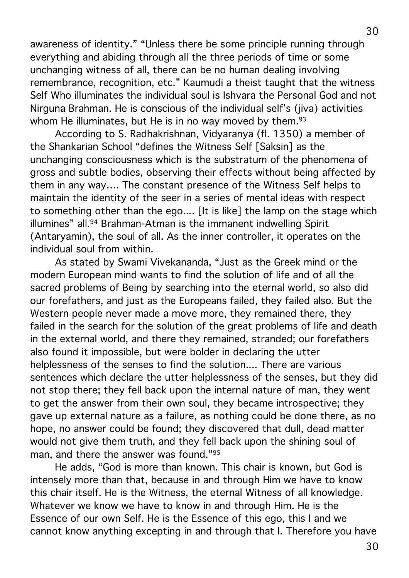awareness of identity." "Unless there be some principle running through everything and abiding through all the three periods of time or some unchanging witness of all, there can be no human dealing involving remembrance, recognition, etc." Kaumudi a theist taught that the witness Self Who illuminates the individual soul is Ishvara the Personal God and not Nirguna Brahman. He is conscious of the individual self's (jiva) activities whom He illuminates, but He is in no way moved by them.<sup>93</sup>

According to S. Radhakrishnan, Vidyaranya (fl. 1350) a member of the Shankarian School "defines the Witness Self [Saksin] as the unchanging consciousness which is the substratum of the phenomena of gross and subtle bodies, observing their effects without being affected by them in any way…. The constant presence of the Witness Self helps to maintain the identity of the seer in a series of mental ideas with respect to something other than the ego.... [It is like] the lamp on the stage which illumines" all.<sup>94</sup> Brahman-Atman is the immanent indwelling Spirit (Antaryamin), the soul of all. As the inner controller, it operates on the individual soul from within.

As stated by Swami Vivekananda, "Just as the Greek mind or the modern European mind wants to find the solution of life and of all the sacred problems of Being by searching into the eternal world, so also did our forefathers, and just as the Europeans failed, they failed also. But the Western people never made a move more, they remained there, they failed in the search for the solution of the great problems of life and death in the external world, and there they remained, stranded; our forefathers also found it impossible, but were bolder in declaring the utter helplessness of the senses to find the solution.... There are various sentences which declare the utter helplessness of the senses, but they did not stop there; they fell back upon the internal nature of man, they went to get the answer from their own soul, they became introspective; they gave up external nature as a failure, as nothing could be done there, as no hope, no answer could be found; they discovered that dull, dead matter would not give them truth, and they fell back upon the shining soul of man, and there the answer was found."95

He adds, "God is more than known. This chair is known, but God is intensely more than that, because in and through Him we have to know this chair itself. He is the Witness, the eternal Witness of all knowledge. Whatever we know we have to know in and through Him. He is the Essence of our own Self. He is the Essence of this ego, this I and we cannot know anything excepting in and through that I. Therefore you have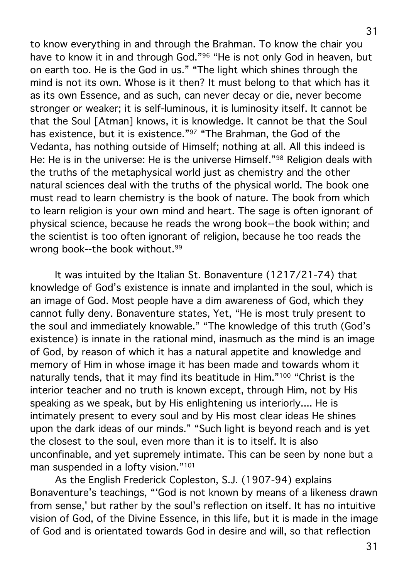31

to know everything in and through the Brahman. To know the chair you have to know it in and through God."<sup>96</sup> "He is not only God in heaven, but on earth too. He is the God in us." "The light which shines through the mind is not its own. Whose is it then? It must belong to that which has it as its own Essence, and as such, can never decay or die, never become stronger or weaker; it is self-luminous, it is luminosity itself. It cannot be that the Soul [Atman] knows, it is knowledge. It cannot be that the Soul has existence, but it is existence."<sup>97</sup> "The Brahman, the God of the Vedanta, has nothing outside of Himself; nothing at all. All this indeed is He: He is in the universe: He is the universe Himself."98 Religion deals with the truths of the metaphysical world just as chemistry and the other natural sciences deal with the truths of the physical world. The book one must read to learn chemistry is the book of nature. The book from which to learn religion is your own mind and heart. The sage is often ignorant of physical science, because he reads the wrong book--the book within; and the scientist is too often ignorant of religion, because he too reads the wrong book--the book without.99

It was intuited by the Italian St. Bonaventure (1217/21-74) that knowledge of God's existence is innate and implanted in the soul, which is an image of God. Most people have a dim awareness of God, which they cannot fully deny. Bonaventure states, Yet, "He is most truly present to the soul and immediately knowable." "The knowledge of this truth (God's existence) is innate in the rational mind, inasmuch as the mind is an image of God, by reason of which it has a natural appetite and knowledge and memory of Him in whose image it has been made and towards whom it naturally tends, that it may find its beatitude in Him."100 "Christ is the interior teacher and no truth is known except, through Him, not by His speaking as we speak, but by His enlightening us interiorly.... He is intimately present to every soul and by His most clear ideas He shines upon the dark ideas of our minds." "Such light is beyond reach and is yet the closest to the soul, even more than it is to itself. It is also unconfinable, and yet supremely intimate. This can be seen by none but a man suspended in a lofty vision."101

As the English Frederick Copleston, S.J. (1907-94) explains Bonaventure's teachings, "'God is not known by means of a likeness drawn from sense,' but rather by the soul's reflection on itself. It has no intuitive vision of God, of the Divine Essence, in this life, but it is made in the image of God and is orientated towards God in desire and will, so that reflection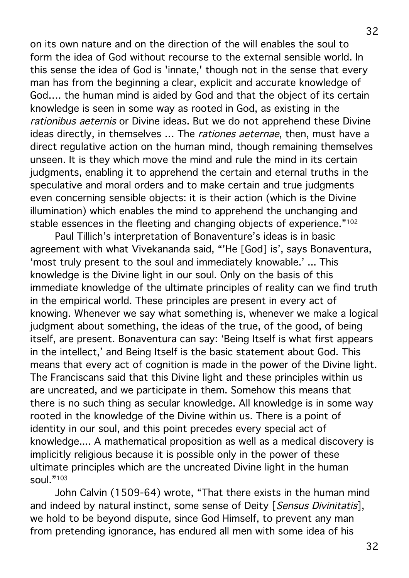on its own nature and on the direction of the will enables the soul to form the idea of God without recourse to the external sensible world. In this sense the idea of God is 'innate,' though not in the sense that every man has from the beginning a clear, explicit and accurate knowledge of God…. the human mind is aided by God and that the object of its certain knowledge is seen in some way as rooted in God, as existing in the rationibus aeternis or Divine ideas. But we do not apprehend these Divine ideas directly, in themselves ... The *rationes aeternae*, then, must have a direct regulative action on the human mind, though remaining themselves unseen. It is they which move the mind and rule the mind in its certain judgments, enabling it to apprehend the certain and eternal truths in the speculative and moral orders and to make certain and true judgments even concerning sensible objects: it is their action (which is the Divine illumination) which enables the mind to apprehend the unchanging and stable essences in the fleeting and changing objects of experience."102

Paul Tillich's interpretation of Bonaventure's ideas is in basic agreement with what Vivekananda said, "'He [God] is', says Bonaventura, 'most truly present to the soul and immediately knowable.' ... This knowledge is the Divine light in our soul. Only on the basis of this immediate knowledge of the ultimate principles of reality can we find truth in the empirical world. These principles are present in every act of knowing. Whenever we say what something is, whenever we make a logical judgment about something, the ideas of the true, of the good, of being itself, are present. Bonaventura can say: 'Being Itself is what first appears in the intellect,' and Being Itself is the basic statement about God. This means that every act of cognition is made in the power of the Divine light. The Franciscans said that this Divine light and these principles within us are uncreated, and we participate in them. Somehow this means that there is no such thing as secular knowledge. All knowledge is in some way rooted in the knowledge of the Divine within us. There is a point of identity in our soul, and this point precedes every special act of knowledge.... A mathematical proposition as well as a medical discovery is implicitly religious because it is possible only in the power of these ultimate principles which are the uncreated Divine light in the human soul."103

John Calvin (1509-64) wrote, "That there exists in the human mind and indeed by natural instinct, some sense of Deity [Sensus Divinitatis], we hold to be beyond dispute, since God Himself, to prevent any man from pretending ignorance, has endured all men with some idea of his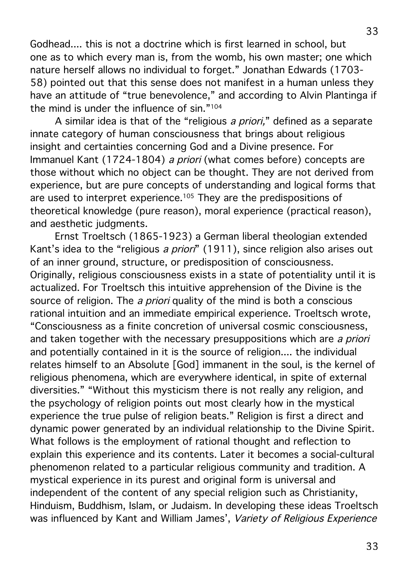Godhead.... this is not a doctrine which is first learned in school, but one as to which every man is, from the womb, his own master; one which nature herself allows no individual to forget." Jonathan Edwards (1703- 58) pointed out that this sense does not manifest in a human unless they have an attitude of "true benevolence," and according to Alvin Plantinga if the mind is under the influence of sin."104

A similar idea is that of the "religious a priori," defined as a separate innate category of human consciousness that brings about religious insight and certainties concerning God and a Divine presence. For Immanuel Kant (1724-1804) a priori (what comes before) concepts are those without which no object can be thought. They are not derived from experience, but are pure concepts of understanding and logical forms that are used to interpret experience.<sup>105</sup> They are the predispositions of theoretical knowledge (pure reason), moral experience (practical reason), and aesthetic judgments.

Ernst Troeltsch (1865-1923) a German liberal theologian extended Kant's idea to the "religious a priori" (1911), since religion also arises out of an inner ground, structure, or predisposition of consciousness. Originally, religious consciousness exists in a state of potentiality until it is actualized. For Troeltsch this intuitive apprehension of the Divine is the source of religion. The *a priori* quality of the mind is both a conscious rational intuition and an immediate empirical experience. Troeltsch wrote, "Consciousness as a finite concretion of universal cosmic consciousness, and taken together with the necessary presuppositions which are a priori and potentially contained in it is the source of religion.... the individual relates himself to an Absolute [God] immanent in the soul, is the kernel of religious phenomena, which are everywhere identical, in spite of external diversities." "Without this mysticism there is not really any religion, and the psychology of religion points out most clearly how in the mystical experience the true pulse of religion beats." Religion is first a direct and dynamic power generated by an individual relationship to the Divine Spirit. What follows is the employment of rational thought and reflection to explain this experience and its contents. Later it becomes a social-cultural phenomenon related to a particular religious community and tradition. A mystical experience in its purest and original form is universal and independent of the content of any special religion such as Christianity, Hinduism, Buddhism, Islam, or Judaism. In developing these ideas Troeltsch was influenced by Kant and William James', Variety of Religious Experience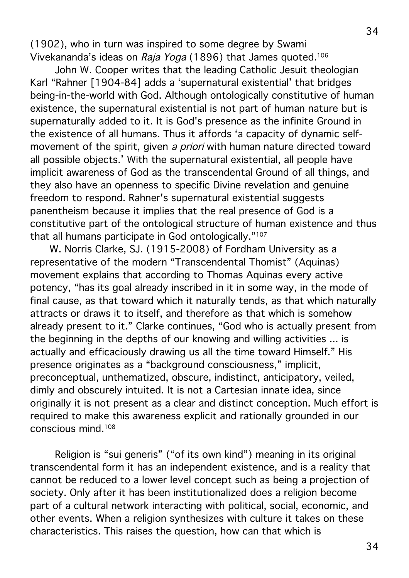(1902), who in turn was inspired to some degree by Swami Vivekananda's ideas on Raja Yoga (1896) that James quoted.106

John W. Cooper writes that the leading Catholic Jesuit theologian Karl "Rahner [1904-84] adds a 'supernatural existential' that bridges being-in-the-world with God. Although ontologically constitutive of human existence, the supernatural existential is not part of human nature but is supernaturally added to it. It is God's presence as the infinite Ground in the existence of all humans. Thus it affords 'a capacity of dynamic selfmovement of the spirit, given a priori with human nature directed toward all possible objects.' With the supernatural existential, all people have implicit awareness of God as the transcendental Ground of all things, and they also have an openness to specific Divine revelation and genuine freedom to respond. Rahner's supernatural existential suggests panentheism because it implies that the real presence of God is a constitutive part of the ontological structure of human existence and thus that all humans participate in God ontologically."107

W. Norris Clarke, SJ. (1915-2008) of Fordham University as a representative of the modern "Transcendental Thomist" (Aquinas) movement explains that according to Thomas Aquinas every active potency, "has its goal already inscribed in it in some way, in the mode of final cause, as that toward which it naturally tends, as that which naturally attracts or draws it to itself, and therefore as that which is somehow already present to it." Clarke continues, "God who is actually present from the beginning in the depths of our knowing and willing activities ... is actually and efficaciously drawing us all the time toward Himself." His presence originates as a "background consciousness," implicit, preconceptual, unthematized, obscure, indistinct, anticipatory, veiled, dimly and obscurely intuited. It is not a Cartesian innate idea, since originally it is not present as a clear and distinct conception. Much effort is required to make this awareness explicit and rationally grounded in our conscious mind.108

Religion is "sui generis" ("of its own kind") meaning in its original transcendental form it has an independent existence, and is a reality that cannot be reduced to a lower level concept such as being a projection of society. Only after it has been institutionalized does a religion become part of a cultural network interacting with political, social, economic, and other events. When a religion synthesizes with culture it takes on these characteristics. This raises the question, how can that which is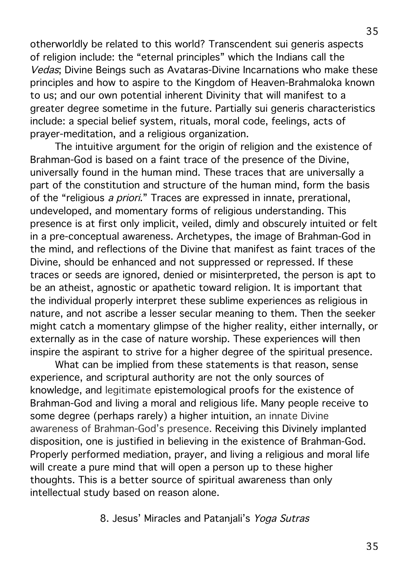otherworldly be related to this world? Transcendent sui generis aspects of religion include: the "eternal principles" which the Indians call the Vedas; Divine Beings such as Avataras-Divine Incarnations who make these principles and how to aspire to the Kingdom of Heaven-Brahmaloka known to us; and our own potential inherent Divinity that will manifest to a greater degree sometime in the future. Partially sui generis characteristics include: a special belief system, rituals, moral code, feelings, acts of prayer-meditation, and a religious organization.

The intuitive argument for the origin of religion and the existence of Brahman-God is based on a faint trace of the presence of the Divine, universally found in the human mind. These traces that are universally a part of the constitution and structure of the human mind, form the basis of the "religious a priori." Traces are expressed in innate, prerational, undeveloped, and momentary forms of religious understanding. This presence is at first only implicit, veiled, dimly and obscurely intuited or felt in a pre-conceptual awareness. Archetypes, the image of Brahman-God in the mind, and reflections of the Divine that manifest as faint traces of the Divine, should be enhanced and not suppressed or repressed. If these traces or seeds are ignored, denied or misinterpreted, the person is apt to be an atheist, agnostic or apathetic toward religion. It is important that the individual properly interpret these sublime experiences as religious in nature, and not ascribe a lesser secular meaning to them. Then the seeker might catch a momentary glimpse of the higher reality, either internally, or externally as in the case of nature worship. These experiences will then inspire the aspirant to strive for a higher degree of the spiritual presence.

What can be implied from these statements is that reason, sense experience, and scriptural authority are not the only sources of knowledge, and legitimate epistemological proofs for the existence of Brahman-God and living a moral and religious life. Many people receive to some degree (perhaps rarely) a higher intuition, an innate Divine awareness of Brahman-God's presence. Receiving this Divinely implanted disposition, one is justified in believing in the existence of Brahman-God. Properly performed mediation, prayer, and living a religious and moral life will create a pure mind that will open a person up to these higher thoughts. This is a better source of spiritual awareness than only intellectual study based on reason alone.

8. Jesus' Miracles and Patanjali's Yoga Sutras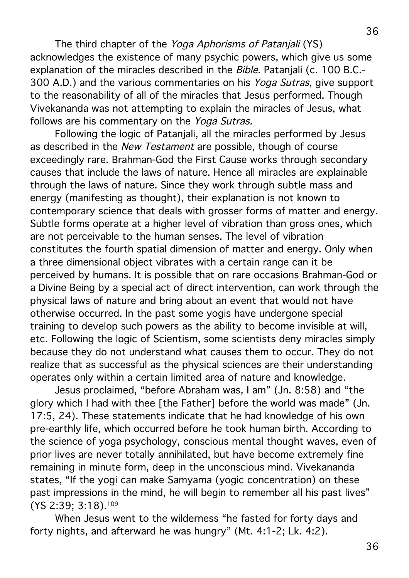The third chapter of the *Yoga Aphorisms of Patanjali* (YS) acknowledges the existence of many psychic powers, which give us some explanation of the miracles described in the Bible. Patanjali (c. 100 B.C.- 300 A.D.) and the various commentaries on his Yoga Sutras, give support to the reasonability of all of the miracles that Jesus performed. Though Vivekananda was not attempting to explain the miracles of Jesus, what follows are his commentary on the Yoga Sutras.

Following the logic of Patanjali, all the miracles performed by Jesus as described in the New Testament are possible, though of course exceedingly rare. Brahman-God the First Cause works through secondary causes that include the laws of nature. Hence all miracles are explainable through the laws of nature. Since they work through subtle mass and energy (manifesting as thought), their explanation is not known to contemporary science that deals with grosser forms of matter and energy. Subtle forms operate at a higher level of vibration than gross ones, which are not perceivable to the human senses. The level of vibration constitutes the fourth spatial dimension of matter and energy. Only when a three dimensional object vibrates with a certain range can it be perceived by humans. It is possible that on rare occasions Brahman-God or a Divine Being by a special act of direct intervention, can work through the physical laws of nature and bring about an event that would not have otherwise occurred. In the past some yogis have undergone special training to develop such powers as the ability to become invisible at will, etc. Following the logic of Scientism, some scientists deny miracles simply because they do not understand what causes them to occur. They do not realize that as successful as the physical sciences are their understanding operates only within a certain limited area of nature and knowledge.

Jesus proclaimed, "before Abraham was, I am" (Jn. 8:58) and "the glory which I had with thee [the Father] before the world was made" (Jn. 17:5, 24). These statements indicate that he had knowledge of his own pre-earthly life, which occurred before he took human birth. According to the science of yoga psychology, conscious mental thought waves, even of prior lives are never totally annihilated, but have become extremely fine remaining in minute form, deep in the unconscious mind. Vivekananda states, "If the yogi can make Samyama (yogic concentration) on these past impressions in the mind, he will begin to remember all his past lives" (YS 2:39; 3:18).109

When Jesus went to the wilderness "he fasted for forty days and forty nights, and afterward he was hungry" (Mt. 4:1-2; Lk. 4:2).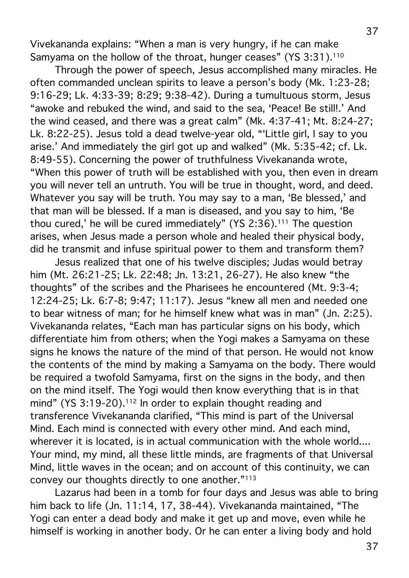Vivekananda explains: "When a man is very hungry, if he can make Samyama on the hollow of the throat, hunger ceases" (YS 3:31).<sup>110</sup>

Through the power of speech, Jesus accomplished many miracles. He often commanded unclean spirits to leave a person's body (Mk. 1:23-28; 9:16-29; Lk. 4:33-39; 8:29; 9:38-42). During a tumultuous storm, Jesus "awoke and rebuked the wind, and said to the sea, 'Peace! Be still!.' And the wind ceased, and there was a great calm" (Mk. 4:37-41; Mt. 8:24-27; Lk. 8:22-25). Jesus told a dead twelve-year old, "'Little girl, I say to you arise.' And immediately the girl got up and walked" (Mk. 5:35-42; cf. Lk. 8:49-55). Concerning the power of truthfulness Vivekananda wrote, "When this power of truth will be established with you, then even in dream you will never tell an untruth. You will be true in thought, word, and deed. Whatever you say will be truth. You may say to a man, 'Be blessed,' and that man will be blessed. If a man is diseased, and you say to him, 'Be thou cured,' he will be cured immediately" (YS 2:36).111 The question arises, when Jesus made a person whole and healed their physical body, did he transmit and infuse spiritual power to them and transform them?

Jesus realized that one of his twelve disciples; Judas would betray him (Mt. 26:21-25; Lk. 22:48; Jn. 13:21, 26-27). He also knew "the thoughts" of the scribes and the Pharisees he encountered (Mt. 9:3-4; 12:24-25; Lk. 6:7-8; 9:47; 11:17). Jesus "knew all men and needed one to bear witness of man; for he himself knew what was in man" (Jn. 2:25). Vivekananda relates, "Each man has particular signs on his body, which differentiate him from others; when the Yogi makes a Samyama on these signs he knows the nature of the mind of that person. He would not know the contents of the mind by making a Samyama on the body. There would be required a twofold Samyama, first on the signs in the body, and then on the mind itself. The Yogi would then know everything that is in that mind" (YS 3:19-20).<sup>112</sup> In order to explain thought reading and transference Vivekananda clarified, "This mind is part of the Universal Mind. Each mind is connected with every other mind. And each mind, wherever it is located, is in actual communication with the whole world.... Your mind, my mind, all these little minds, are fragments of that Universal Mind, little waves in the ocean; and on account of this continuity, we can convey our thoughts directly to one another."113

Lazarus had been in a tomb for four days and Jesus was able to bring him back to life (Jn. 11:14, 17, 38-44). Vivekananda maintained, "The Yogi can enter a dead body and make it get up and move, even while he himself is working in another body. Or he can enter a living body and hold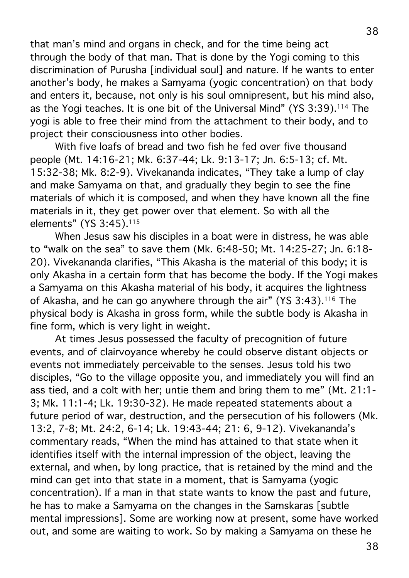that man's mind and organs in check, and for the time being act through the body of that man. That is done by the Yogi coming to this discrimination of Purusha [individual soul] and nature. If he wants to enter another's body, he makes a Samyama (yogic concentration) on that body and enters it, because, not only is his soul omnipresent, but his mind also, as the Yogi teaches. It is one bit of the Universal Mind" (YS 3:39).114 The yogi is able to free their mind from the attachment to their body, and to project their consciousness into other bodies.

With five loafs of bread and two fish he fed over five thousand people (Mt. 14:16-21; Mk. 6:37-44; Lk. 9:13-17; Jn. 6:5-13; cf. Mt. 15:32-38; Mk. 8:2-9). Vivekananda indicates, "They take a lump of clay and make Samyama on that, and gradually they begin to see the fine materials of which it is composed, and when they have known all the fine materials in it, they get power over that element. So with all the elements" (YS 3:45).<sup>115</sup>

When Jesus saw his disciples in a boat were in distress, he was able to "walk on the sea" to save them (Mk. 6:48-50; Mt. 14:25-27; Jn. 6:18- 20). Vivekananda clarifies, "This Akasha is the material of this body; it is only Akasha in a certain form that has become the body. If the Yogi makes a Samyama on this Akasha material of his body, it acquires the lightness of Akasha, and he can go anywhere through the air" (YS 3:43).116 The physical body is Akasha in gross form, while the subtle body is Akasha in fine form, which is very light in weight.

At times Jesus possessed the faculty of precognition of future events, and of clairvoyance whereby he could observe distant objects or events not immediately perceivable to the senses. Jesus told his two disciples, "Go to the village opposite you, and immediately you will find an ass tied, and a colt with her; untie them and bring them to me" (Mt. 21:1- 3; Mk. 11:1-4; Lk. 19:30-32). He made repeated statements about a future period of war, destruction, and the persecution of his followers (Mk. 13:2, 7-8; Mt. 24:2, 6-14; Lk. 19:43-44; 21: 6, 9-12). Vivekananda's commentary reads, "When the mind has attained to that state when it identifies itself with the internal impression of the object, leaving the external, and when, by long practice, that is retained by the mind and the mind can get into that state in a moment, that is Samyama (yogic concentration). If a man in that state wants to know the past and future, he has to make a Samyama on the changes in the Samskaras [subtle mental impressions]. Some are working now at present, some have worked out, and some are waiting to work. So by making a Samyama on these he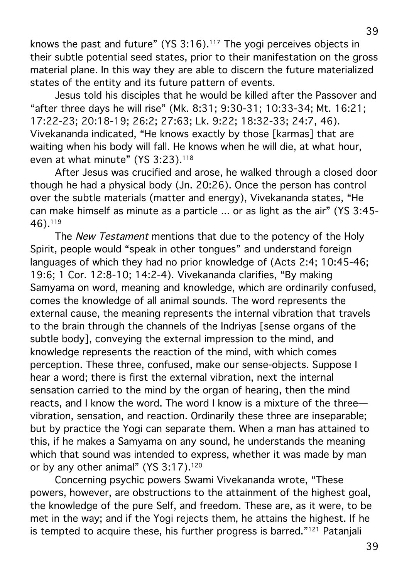knows the past and future" (YS 3:16).<sup>117</sup> The yogi perceives objects in their subtle potential seed states, prior to their manifestation on the gross material plane. In this way they are able to discern the future materialized states of the entity and its future pattern of events.

Jesus told his disciples that he would be killed after the Passover and "after three days he will rise" (Mk. 8:31; 9:30-31; 10:33-34; Mt. 16:21; 17:22-23; 20:18-19; 26:2; 27:63; Lk. 9:22; 18:32-33; 24:7, 46). Vivekananda indicated, "He knows exactly by those [karmas] that are waiting when his body will fall. He knows when he will die, at what hour, even at what minute" (YS 3:23).<sup>118</sup>

After Jesus was crucified and arose, he walked through a closed door though he had a physical body (Jn. 20:26). Once the person has control over the subtle materials (matter and energy), Vivekananda states, "He can make himself as minute as a particle ... or as light as the air" (YS 3:45- 46).119

The New Testament mentions that due to the potency of the Holy Spirit, people would "speak in other tongues" and understand foreign languages of which they had no prior knowledge of (Acts 2:4; 10:45-46; 19:6; 1 Cor. 12:8-10; 14:2-4). Vivekananda clarifies, "By making Samyama on word, meaning and knowledge, which are ordinarily confused, comes the knowledge of all animal sounds. The word represents the external cause, the meaning represents the internal vibration that travels to the brain through the channels of the Indriyas [sense organs of the subtle body], conveying the external impression to the mind, and knowledge represents the reaction of the mind, with which comes perception. These three, confused, make our sense-objects. Suppose I hear a word; there is first the external vibration, next the internal sensation carried to the mind by the organ of hearing, then the mind reacts, and I know the word. The word I know is a mixture of the three vibration, sensation, and reaction. Ordinarily these three are inseparable; but by practice the Yogi can separate them. When a man has attained to this, if he makes a Samyama on any sound, he understands the meaning which that sound was intended to express, whether it was made by man or by any other animal" (YS 3:17).<sup>120</sup>

Concerning psychic powers Swami Vivekananda wrote, "These powers, however, are obstructions to the attainment of the highest goal, the knowledge of the pure Self, and freedom. These are, as it were, to be met in the way; and if the Yogi rejects them, he attains the highest. If he is tempted to acquire these, his further progress is barred."121 Patanjali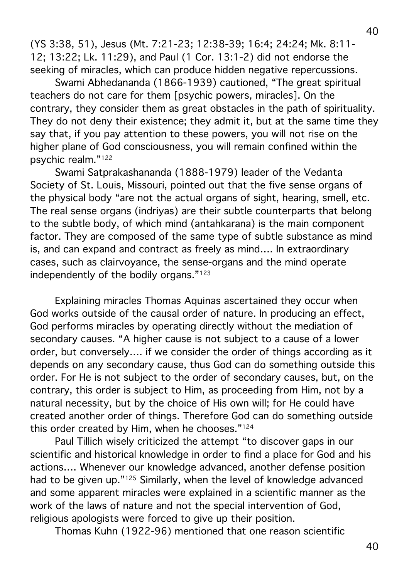(YS 3:38, 51), Jesus (Mt. 7:21-23; 12:38-39; 16:4; 24:24; Mk. 8:11- 12; 13:22; Lk. 11:29), and Paul (1 Cor. 13:1-2) did not endorse the seeking of miracles, which can produce hidden negative repercussions.

Swami Abhedananda (1866-1939) cautioned, "The great spiritual teachers do not care for them [psychic powers, miracles]. On the contrary, they consider them as great obstacles in the path of spirituality. They do not deny their existence; they admit it, but at the same time they say that, if you pay attention to these powers, you will not rise on the higher plane of God consciousness, you will remain confined within the psychic realm."122

Swami Satprakashananda (1888-1979) leader of the Vedanta Society of St. Louis, Missouri, pointed out that the five sense organs of the physical body "are not the actual organs of sight, hearing, smell, etc. The real sense organs (indriyas) are their subtle counterparts that belong to the subtle body, of which mind (antahkarana) is the main component factor. They are composed of the same type of subtle substance as mind is, and can expand and contract as freely as mind…. In extraordinary cases, such as clairvoyance, the sense-organs and the mind operate independently of the bodily organs."123

Explaining miracles Thomas Aquinas ascertained they occur when God works outside of the causal order of nature. In producing an effect, God performs miracles by operating directly without the mediation of secondary causes. "A higher cause is not subject to a cause of a lower order, but conversely…. if we consider the order of things according as it depends on any secondary cause, thus God can do something outside this order. For He is not subject to the order of secondary causes, but, on the contrary, this order is subject to Him, as proceeding from Him, not by a natural necessity, but by the choice of His own will; for He could have created another order of things. Therefore God can do something outside this order created by Him, when he chooses."124

Paul Tillich wisely criticized the attempt "to discover gaps in our scientific and historical knowledge in order to find a place for God and his actions…. Whenever our knowledge advanced, another defense position had to be given up."125 Similarly, when the level of knowledge advanced and some apparent miracles were explained in a scientific manner as the work of the laws of nature and not the special intervention of God, religious apologists were forced to give up their position.

Thomas Kuhn (1922-96) mentioned that one reason scientific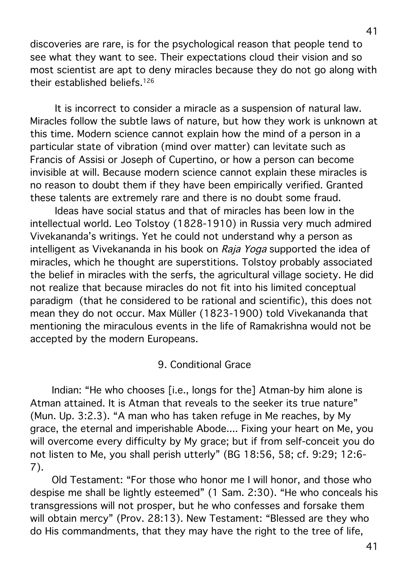discoveries are rare, is for the psychological reason that people tend to see what they want to see. Their expectations cloud their vision and so most scientist are apt to deny miracles because they do not go along with their established beliefs.126

It is incorrect to consider a miracle as a suspension of natural law. Miracles follow the subtle laws of nature, but how they work is unknown at this time. Modern science cannot explain how the mind of a person in a particular state of vibration (mind over matter) can levitate such as Francis of Assisi or Joseph of Cupertino, or how a person can become invisible at will. Because modern science cannot explain these miracles is no reason to doubt them if they have been empirically verified. Granted these talents are extremely rare and there is no doubt some fraud.

Ideas have social status and that of miracles has been low in the intellectual world. Leo Tolstoy (1828-1910) in Russia very much admired Vivekananda's writings. Yet he could not understand why a person as intelligent as Vivekananda in his book on Raja Yoga supported the idea of miracles, which he thought are superstitions. Tolstoy probably associated the belief in miracles with the serfs, the agricultural village society. He did not realize that because miracles do not fit into his limited conceptual paradigm (that he considered to be rational and scientific), this does not mean they do not occur. Max Müller (1823-1900) told Vivekananda that mentioning the miraculous events in the life of Ramakrishna would not be accepted by the modern Europeans.

## 9. Conditional Grace

Indian: "He who chooses [i.e., longs for the] Atman-by him alone is Atman attained. It is Atman that reveals to the seeker its true nature" (Mun. Up. 3:2.3). "A man who has taken refuge in Me reaches, by My grace, the eternal and imperishable Abode.... Fixing your heart on Me, you will overcome every difficulty by My grace; but if from self-conceit you do not listen to Me, you shall perish utterly" (BG 18:56, 58; cf. 9:29; 12:6- 7).

Old Testament: "For those who honor me I will honor, and those who despise me shall be lightly esteemed" (1 Sam. 2:30). "He who conceals his transgressions will not prosper, but he who confesses and forsake them will obtain mercy" (Prov. 28:13). New Testament: "Blessed are they who do His commandments, that they may have the right to the tree of life,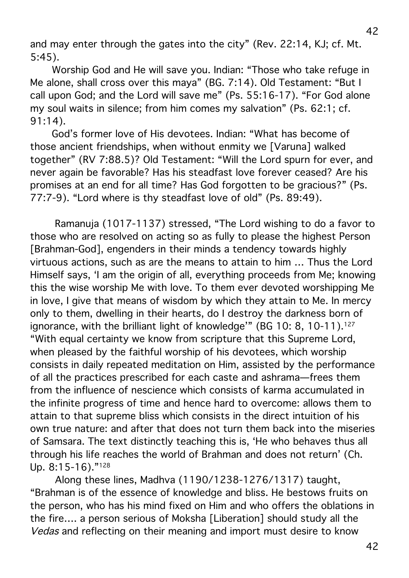and may enter through the gates into the city" (Rev. 22:14, KJ; cf. Mt. 5:45).

Worship God and He will save you. Indian: "Those who take refuge in Me alone, shall cross over this maya" (BG. 7:14). Old Testament: "But I call upon God; and the Lord will save me" (Ps. 55:16-17). "For God alone my soul waits in silence; from him comes my salvation" (Ps. 62:1; cf. 91:14).

God's former love of His devotees. Indian: "What has become of those ancient friendships, when without enmity we [Varuna] walked together" (RV 7:88.5)? Old Testament: "Will the Lord spurn for ever, and never again be favorable? Has his steadfast love forever ceased? Are his promises at an end for all time? Has God forgotten to be gracious?" (Ps. 77:7-9). "Lord where is thy steadfast love of old" (Ps. 89:49).

Ramanuja (1017-1137) stressed, "The Lord wishing to do a favor to those who are resolved on acting so as fully to please the highest Person [Brahman-God], engenders in their minds a tendency towards highly virtuous actions, such as are the means to attain to him … Thus the Lord Himself says, 'I am the origin of all, everything proceeds from Me; knowing this the wise worship Me with love. To them ever devoted worshipping Me in love, I give that means of wisdom by which they attain to Me. In mercy only to them, dwelling in their hearts, do I destroy the darkness born of ignorance, with the brilliant light of knowledge'" (BG 10: 8, 10-11).<sup>127</sup> "With equal certainty we know from scripture that this Supreme Lord, when pleased by the faithful worship of his devotees, which worship consists in daily repeated meditation on Him, assisted by the performance of all the practices prescribed for each caste and ashrama—frees them from the influence of nescience which consists of karma accumulated in the infinite progress of time and hence hard to overcome: allows them to attain to that supreme bliss which consists in the direct intuition of his own true nature: and after that does not turn them back into the miseries of Samsara. The text distinctly teaching this is, 'He who behaves thus all through his life reaches the world of Brahman and does not return' (Ch. Up. 8:15-16)."<sup>128</sup>

Along these lines, Madhva (1190/1238-1276/1317) taught, "Brahman is of the essence of knowledge and bliss. He bestows fruits on the person, who has his mind fixed on Him and who offers the oblations in the fire…. a person serious of Moksha [Liberation] should study all the Vedas and reflecting on their meaning and import must desire to know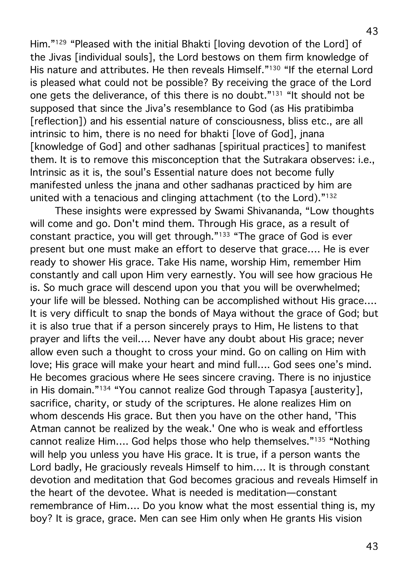Him."129 "Pleased with the initial Bhakti [loving devotion of the Lord] of the Jivas [individual souls], the Lord bestows on them firm knowledge of His nature and attributes. He then reveals Himself."130 "If the eternal Lord is pleased what could not be possible? By receiving the grace of the Lord one gets the deliverance, of this there is no doubt."131 "It should not be supposed that since the Jiva's resemblance to God (as His pratibimba [reflection]) and his essential nature of consciousness, bliss etc., are all intrinsic to him, there is no need for bhakti [love of God], jnana [knowledge of God] and other sadhanas [spiritual practices] to manifest them. It is to remove this misconception that the Sutrakara observes: i.e., Intrinsic as it is, the soul's Essential nature does not become fully manifested unless the jnana and other sadhanas practiced by him are united with a tenacious and clinging attachment (to the Lord)."132

These insights were expressed by Swami Shivananda, "Low thoughts will come and go. Don't mind them. Through His grace, as a result of constant practice, you will get through."133 "The grace of God is ever present but one must make an effort to deserve that grace…. He is ever ready to shower His grace. Take His name, worship Him, remember Him constantly and call upon Him very earnestly. You will see how gracious He is. So much grace will descend upon you that you will be overwhelmed; your life will be blessed. Nothing can be accomplished without His grace…. It is very difficult to snap the bonds of Maya without the grace of God; but it is also true that if a person sincerely prays to Him, He listens to that prayer and lifts the veil…. Never have any doubt about His grace; never allow even such a thought to cross your mind. Go on calling on Him with love; His grace will make your heart and mind full…. God sees one's mind. He becomes gracious where He sees sincere craving. There is no injustice in His domain."134 "You cannot realize God through Tapasya [austerity], sacrifice, charity, or study of the scriptures. He alone realizes Him on whom descends His grace. But then you have on the other hand, 'This Atman cannot be realized by the weak.' One who is weak and effortless cannot realize Him…. God helps those who help themselves."135 "Nothing will help you unless you have His grace. It is true, if a person wants the Lord badly, He graciously reveals Himself to him…. It is through constant devotion and meditation that God becomes gracious and reveals Himself in the heart of the devotee. What is needed is meditation—constant remembrance of Him…. Do you know what the most essential thing is, my boy? It is grace, grace. Men can see Him only when He grants His vision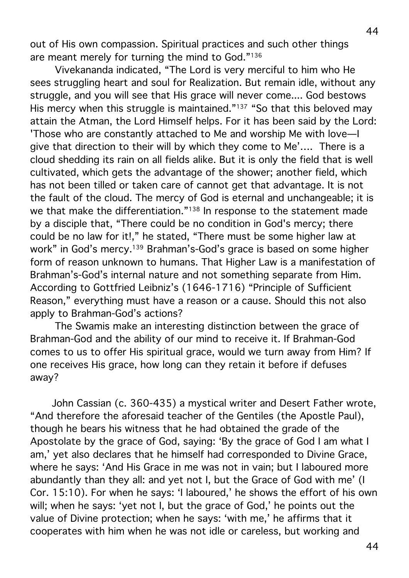out of His own compassion. Spiritual practices and such other things are meant merely for turning the mind to God."136

Vivekananda indicated, "The Lord is very merciful to him who He sees struggling heart and soul for Realization. But remain idle, without any struggle, and you will see that His grace will never come.... God bestows His mercy when this struggle is maintained."<sup>137</sup> "So that this beloved may attain the Atman, the Lord Himself helps. For it has been said by the Lord: 'Those who are constantly attached to Me and worship Me with love—I give that direction to their will by which they come to Me'…. There is a cloud shedding its rain on all fields alike. But it is only the field that is well cultivated, which gets the advantage of the shower; another field, which has not been tilled or taken care of cannot get that advantage. It is not the fault of the cloud. The mercy of God is eternal and unchangeable; it is we that make the differentiation."138 In response to the statement made by a disciple that, "There could be no condition in God's mercy; there could be no law for it!," he stated, "There must be some higher law at work" in God's mercy.139 Brahman's-God's grace is based on some higher form of reason unknown to humans. That Higher Law is a manifestation of Brahman's-God's internal nature and not something separate from Him. According to Gottfried Leibniz's (1646-1716) "Principle of Sufficient Reason," everything must have a reason or a cause. Should this not also apply to Brahman-God's actions?

The Swamis make an interesting distinction between the grace of Brahman-God and the ability of our mind to receive it. If Brahman-God comes to us to offer His spiritual grace, would we turn away from Him? If one receives His grace, how long can they retain it before if defuses away?

John Cassian (c. 360-435) a mystical writer and Desert Father wrote, "And therefore the aforesaid teacher of the Gentiles (the Apostle Paul), though he bears his witness that he had obtained the grade of the Apostolate by the grace of God, saying: 'By the grace of God I am what I am,' yet also declares that he himself had corresponded to Divine Grace, where he says: 'And His Grace in me was not in vain; but I laboured more abundantly than they all: and yet not I, but the Grace of God with me' (I Cor. 15:10). For when he says: 'I laboured,' he shows the effort of his own will; when he says: 'yet not I, but the grace of God,' he points out the value of Divine protection; when he says: 'with me,' he affirms that it cooperates with him when he was not idle or careless, but working and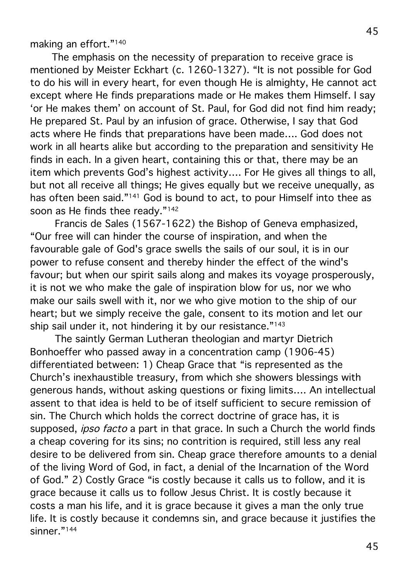making an effort."140

The emphasis on the necessity of preparation to receive grace is mentioned by Meister Eckhart (c. 1260-1327). "It is not possible for God to do his will in every heart, for even though He is almighty, He cannot act except where He finds preparations made or He makes them Himself. I say 'or He makes them' on account of St. Paul, for God did not find him ready; He prepared St. Paul by an infusion of grace. Otherwise, I say that God acts where He finds that preparations have been made…. God does not work in all hearts alike but according to the preparation and sensitivity He finds in each. In a given heart, containing this or that, there may be an item which prevents God's highest activity…. For He gives all things to all, but not all receive all things; He gives equally but we receive unequally, as has often been said."<sup>141</sup> God is bound to act, to pour Himself into thee as soon as He finds thee ready."142

Francis de Sales (1567-1622) the Bishop of Geneva emphasized, "Our free will can hinder the course of inspiration, and when the favourable gale of God's grace swells the sails of our soul, it is in our power to refuse consent and thereby hinder the effect of the wind's favour; but when our spirit sails along and makes its voyage prosperously, it is not we who make the gale of inspiration blow for us, nor we who make our sails swell with it, nor we who give motion to the ship of our heart; but we simply receive the gale, consent to its motion and let our ship sail under it, not hindering it by our resistance."<sup>143</sup>

The saintly German Lutheran theologian and martyr Dietrich Bonhoeffer who passed away in a concentration camp (1906-45) differentiated between: 1) Cheap Grace that "is represented as the Church's inexhaustible treasury, from which she showers blessings with generous hands, without asking questions or fixing limits…. An intellectual assent to that idea is held to be of itself sufficient to secure remission of sin. The Church which holds the correct doctrine of grace has, it is supposed, *ipso facto* a part in that grace. In such a Church the world finds a cheap covering for its sins; no contrition is required, still less any real desire to be delivered from sin. Cheap grace therefore amounts to a denial of the living Word of God, in fact, a denial of the Incarnation of the Word of God." 2) Costly Grace "is costly because it calls us to follow, and it is grace because it calls us to follow Jesus Christ. It is costly because it costs a man his life, and it is grace because it gives a man the only true life. It is costly because it condemns sin, and grace because it justifies the sinner."<sup>144</sup>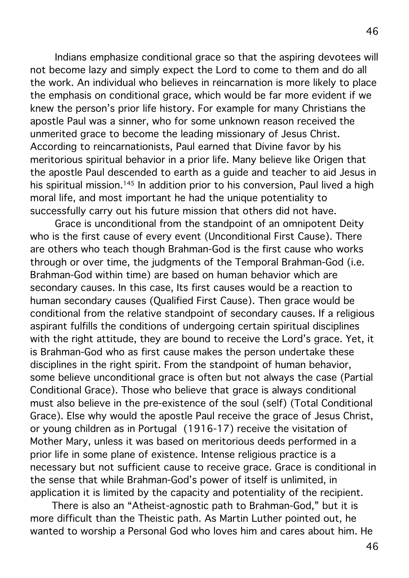Indians emphasize conditional grace so that the aspiring devotees will not become lazy and simply expect the Lord to come to them and do all the work. An individual who believes in reincarnation is more likely to place the emphasis on conditional grace, which would be far more evident if we knew the person's prior life history. For example for many Christians the apostle Paul was a sinner, who for some unknown reason received the unmerited grace to become the leading missionary of Jesus Christ. According to reincarnationists, Paul earned that Divine favor by his meritorious spiritual behavior in a prior life. Many believe like Origen that the apostle Paul descended to earth as a guide and teacher to aid Jesus in his spiritual mission.<sup>145</sup> In addition prior to his conversion, Paul lived a high moral life, and most important he had the unique potentiality to successfully carry out his future mission that others did not have.

Grace is unconditional from the standpoint of an omnipotent Deity who is the first cause of every event (Unconditional First Cause). There are others who teach though Brahman-God is the first cause who works through or over time, the judgments of the Temporal Brahman-God (i.e. Brahman-God within time) are based on human behavior which are secondary causes. In this case, Its first causes would be a reaction to human secondary causes (Qualified First Cause). Then grace would be conditional from the relative standpoint of secondary causes. If a religious aspirant fulfills the conditions of undergoing certain spiritual disciplines with the right attitude, they are bound to receive the Lord's grace. Yet, it is Brahman-God who as first cause makes the person undertake these disciplines in the right spirit. From the standpoint of human behavior, some believe unconditional grace is often but not always the case (Partial Conditional Grace). Those who believe that grace is always conditional must also believe in the pre-existence of the soul (self) (Total Conditional Grace). Else why would the apostle Paul receive the grace of Jesus Christ, or young children as in Portugal (1916-17) receive the visitation of Mother Mary, unless it was based on meritorious deeds performed in a prior life in some plane of existence. Intense religious practice is a necessary but not sufficient cause to receive grace. Grace is conditional in the sense that while Brahman-God's power of itself is unlimited, in application it is limited by the capacity and potentiality of the recipient.

There is also an "Atheist-agnostic path to Brahman-God," but it is more difficult than the Theistic path. As Martin Luther pointed out, he wanted to worship a Personal God who loves him and cares about him. He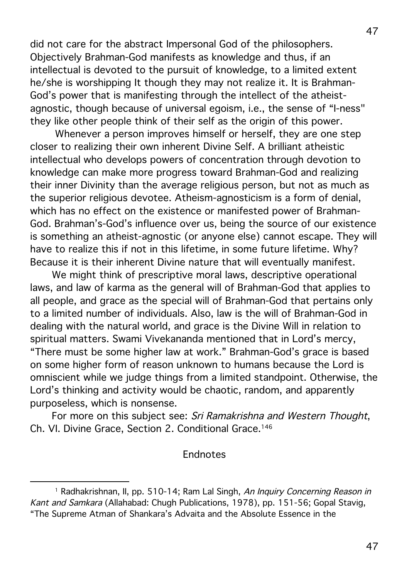did not care for the abstract Impersonal God of the philosophers. Objectively Brahman-God manifests as knowledge and thus, if an intellectual is devoted to the pursuit of knowledge, to a limited extent he/she is worshipping It though they may not realize it. It is Brahman-God's power that is manifesting through the intellect of the atheistagnostic, though because of universal egoism, i.e., the sense of "I-ness" they like other people think of their self as the origin of this power.

 Whenever a person improves himself or herself, they are one step closer to realizing their own inherent Divine Self. A brilliant atheistic intellectual who develops powers of concentration through devotion to knowledge can make more progress toward Brahman-God and realizing their inner Divinity than the average religious person, but not as much as the superior religious devotee. Atheism-agnosticism is a form of denial, which has no effect on the existence or manifested power of Brahman-God. Brahman's-God's influence over us, being the source of our existence is something an atheist-agnostic (or anyone else) cannot escape. They will have to realize this if not in this lifetime, in some future lifetime. Why? Because it is their inherent Divine nature that will eventually manifest.

We might think of prescriptive moral laws, descriptive operational laws, and law of karma as the general will of Brahman-God that applies to all people, and grace as the special will of Brahman-God that pertains only to a limited number of individuals. Also, law is the will of Brahman-God in dealing with the natural world, and grace is the Divine Will in relation to spiritual matters. Swami Vivekananda mentioned that in Lord's mercy, "There must be some higher law at work." Brahman-God's grace is based on some higher form of reason unknown to humans because the Lord is omniscient while we judge things from a limited standpoint. Otherwise, the Lord's thinking and activity would be chaotic, random, and apparently purposeless, which is nonsense.

For more on this subject see: Sri Ramakrishna and Western Thought, Ch. VI. Divine Grace, Section 2. Conditional Grace. 146

### Endnotes

<sup>&</sup>lt;sup>1</sup> Radhakrishnan, II, pp. 510-14; Ram Lal Singh, An Inquiry Concerning Reason in Kant and Samkara (Allahabad: Chugh Publications, 1978), pp. 151-56; Gopal Stavig, "The Supreme Atman of Shankara's Advaita and the Absolute Essence in the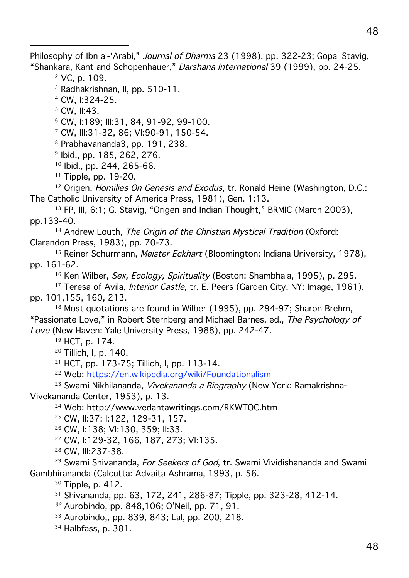Philosophy of Ibn al-'Arabi," Journal of Dharma 23 (1998), pp. 322-23; Gopal Stavig, "Shankara, Kant and Schopenhauer," Darshana International 39 (1999), pp. 24-25.

2 VC, p. 109.

 $\overline{a}$ 

<sup>3</sup> Radhakrishnan, II, pp. 510-11.

4 CW, I:324-25.

 $5$  CW, II:43.

6 CW, I:189; III:31, 84, 91-92, 99-100.

7 CW, III:31-32, 86; VI:90-91, 150-54.

8 Prabhavananda3, pp. 191, 238.

<sup>9</sup> Ibid., pp. 185, 262, 276.

<sup>10</sup> Ibid., pp. 244, 265-66.

 $11$  Tipple, pp. 19-20.

<sup>12</sup> Origen, *Homilies On Genesis and Exodus*, tr. Ronald Heine (Washington, D.C.: The Catholic University of America Press, 1981), Gen. 1:13.

<sup>13</sup> FP, III, 6:1; G. Stavig, "Origen and Indian Thought," BRMIC (March 2003), pp.133-40.

<sup>14</sup> Andrew Louth, The Origin of the Christian Mystical Tradition (Oxford: Clarendon Press, 1983), pp. 70-73.

<sup>15</sup> Reiner Schurmann, *Meister Eckhart* (Bloomington: Indiana University, 1978), pp. 161-62.

<sup>16</sup> Ken Wilber, Sex, Ecology, Spirituality (Boston: Shambhala, 1995), p. 295.

<sup>17</sup> Teresa of Avila, *Interior Castle*, tr. E. Peers (Garden City, NY: Image, 1961), pp. 101,155, 160, 213.

<sup>18</sup> Most quotations are found in Wilber (1995), pp. 294-97; Sharon Brehm, "Passionate Love," in Robert Sternberg and Michael Barnes, ed., The Psychology of Love (New Haven: Yale University Press, 1988), pp. 242-47.

19 HCT, p. 174.

<sup>20</sup> Tillich, I, p. 140.

21 HCT, pp. 173-75; Tillich, I, pp. 113-14.

22 Web: https://en.wikipedia.org/wiki/Foundationalism

<sup>23</sup> Swami Nikhilananda, *Vivekananda a Biography* (New York: Ramakrishna-Vivekananda Center, 1953), p. 13.

24 Web: http://www.vedantawritings.com/RKWTOC.htm

25 CW, II:37; I:122, 129-31, 157.

26 CW, I:138; VI:130, 359; II:33.

27 CW, I:129-32, 166, 187, 273; VI:135.

28 CW, III:237-38.

<sup>29</sup> Swami Shivananda, For Seekers of God, tr. Swami Vividishananda and Swami Gambhirananda (Calcutta: Advaita Ashrama, 1993, p. 56.

 $30$  Tipple, p. 412.

31 Shivananda, pp. 63, 172, 241, 286-87; Tipple, pp. 323-28, 412-14.

<sup>32</sup> Aurobindo, pp. 848,106; O'Neil, pp. 71, 91.

33 Aurobindo,, pp. 839, 843; Lal, pp. 200, 218.

<sup>34</sup> Halbfass, p. 381.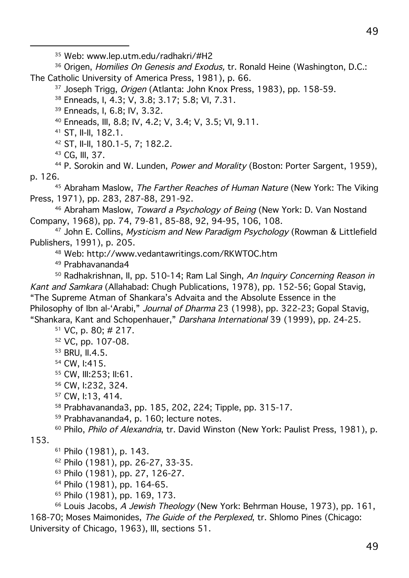35 Web: www.lep.utm.edu/radhakri/#H2

<sup>36</sup> Origen, Homilies On Genesis and Exodus, tr. Ronald Heine (Washington, D.C.: The Catholic University of America Press, 1981), p. 66.

37 Joseph Trigg, *Origen* (Atlanta: John Knox Press, 1983), pp. 158-59.

<sup>38</sup> Enneads, I, 4.3; V, 3.8; 3.17; 5.8; VI, 7.31.

<sup>39</sup> Enneads, I, 6.8; IV, 3.32.

<sup>40</sup> Enneads, III, 8.8; IV, 4.2; V, 3.4; V, 3.5; VI, 9.11.

41 ST, II-II, 182.1.

42 ST, II-II, 180.1-5, 7; 182.2.

43 CG, III, 37.

<sup>44</sup> P. Sorokin and W. Lunden, *Power and Morality* (Boston: Porter Sargent, 1959), p. 126.

<sup>45</sup> Abraham Maslow, *The Farther Reaches of Human Nature* (New York: The Viking Press, 1971), pp. 283, 287-88, 291-92.

<sup>46</sup> Abraham Maslow, Toward a Psychology of Being (New York: D. Van Nostand Company, 1968), pp. 74, 79-81, 85-88, 92, 94-95, 106, 108.

<sup>47</sup> John E. Collins, Mysticism and New Paradigm Psychology (Rowman & Littlefield Publishers, 1991), p. 205.

48 Web: http://www.vedantawritings.com/RKWTOC.htm

49 Prabhavananda4

<sup>50</sup> Radhakrishnan, II, pp. 510-14; Ram Lal Singh, An Inquiry Concerning Reason in Kant and Samkara (Allahabad: Chugh Publications, 1978), pp. 152-56; Gopal Stavig, "The Supreme Atman of Shankara's Advaita and the Absolute Essence in the Philosophy of Ibn al-'Arabi," Journal of Dharma 23 (1998), pp. 322-23; Gopal Stavig, "Shankara, Kant and Schopenhauer," Darshana International 39 (1999), pp. 24-25.

51 VC, p. 80; # 217.

- 52 VC, pp. 107-08.
- 53 BRU, II.4.5.
- 54 CW, I:415.
- 55 CW, III:253; II:61.
- 56 CW, I:232, 324.
- 57 CW, I:13, 414.

<sup>58</sup> Prabhavananda3, pp. 185, 202, 224; Tipple, pp. 315-17.

59 Prabhavananda4, p. 160; lecture notes.

<sup>60</sup> Philo, *Philo of Alexandria*, tr. David Winston (New York: Paulist Press, 1981), p.

### 153.

61 Philo (1981), p. 143.

62 Philo (1981), pp. 26-27, 33-35.

- 63 Philo (1981), pp. 27, 126-27.
- 64 Philo (1981), pp. 164-65.
- <sup>65</sup> Philo (1981), pp. 169, 173.

<sup>66</sup> Louis Jacobs, A Jewish Theology (New York: Behrman House, 1973), pp. 161, 168-70; Moses Maimonides, The Guide of the Perplexed, tr. Shlomo Pines (Chicago: University of Chicago, 1963), III, sections 51.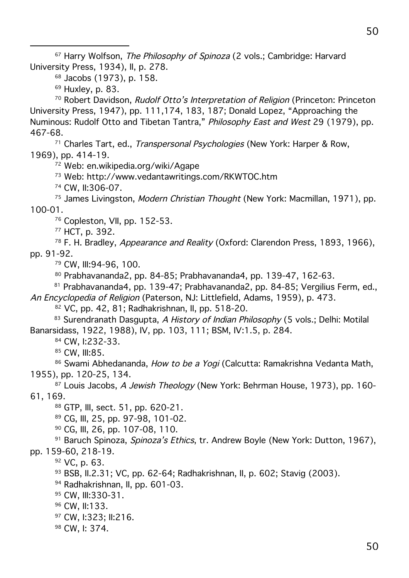<sup>67</sup> Harry Wolfson, *The Philosophy of Spinoza* (2 vols.; Cambridge: Harvard University Press, 1934), II, p. 278.

<sup>68</sup> Jacobs (1973), p. 158.

<sup>69</sup> Huxley, p. 83.

<sup>70</sup> Robert Davidson, Rudolf Otto's Interpretation of Religion (Princeton: Princeton University Press, 1947), pp. 111,174, 183, 187; Donald Lopez, "Approaching the Numinous: Rudolf Otto and Tibetan Tantra," Philosophy East and West 29 (1979), pp. 467-68.

<sup>71</sup> Charles Tart, ed., *Transpersonal Psychologies* (New York: Harper & Row, 1969), pp. 414-19.

72 Web: en.wikipedia.org/wiki/Agape

73 Web: http://www.vedantawritings.com/RKWTOC.htm

<sup>74</sup> CW, II:306-07.

75 James Livingston, Modern Christian Thought (New York: Macmillan, 1971), pp. 100-01.

76 Copleston, VII, pp. 152-53.

77 HCT, p. 392.

<sup>78</sup> F. H. Bradley, *Appearance and Reality* (Oxford: Clarendon Press, 1893, 1966), pp. 91-92.

79 CW, III:94-96, 100.

80 Prabhavananda2, pp. 84-85; Prabhavananda4, pp. 139-47, 162-63.

 81 Prabhavananda4, pp. 139-47; Prabhavananda2, pp. 84-85; Vergilius Ferm, ed., An Encyclopedia of Religion (Paterson, NJ: Littlefield, Adams, 1959), p. 473.

82 VC, pp. 42, 81; Radhakrishnan, II, pp. 518-20.

83 Surendranath Dasqupta, A History of Indian Philosophy (5 vols.; Delhi: Motilal Banarsidass, 1922, 1988), IV, pp. 103, 111; BSM, IV:1.5, p. 284.

84 CW, I:232-33.

85 CW, III:85.

86 Swami Abhedananda, How to be a Yogi (Calcutta: Ramakrishna Vedanta Math, 1955), pp. 120-25, 134.

<sup>87</sup> Louis Jacobs, A Jewish Theology (New York: Behrman House, 1973), pp. 160-61, 169.

88 GTP, III, sect. 51, pp. 620-21.

89 CG, III, 25, pp. 97-98, 101-02.

90 CG, III, 26, pp. 107-08, 110.

91 Baruch Spinoza, Spinoza's Ethics, tr. Andrew Boyle (New York: Dutton, 1967), pp. 159-60, 218-19.

92 VC, p. 63.

93 BSB, II.2.31; VC, pp. 62-64; Radhakrishnan, II, p. 602; Stavig (2003).

94 Radhakrishnan, II, pp. 601-03.

95 CW, III:330-31.

96 CW, II:133.

97 CW, I:323; II:216.

98 CW, I: 374.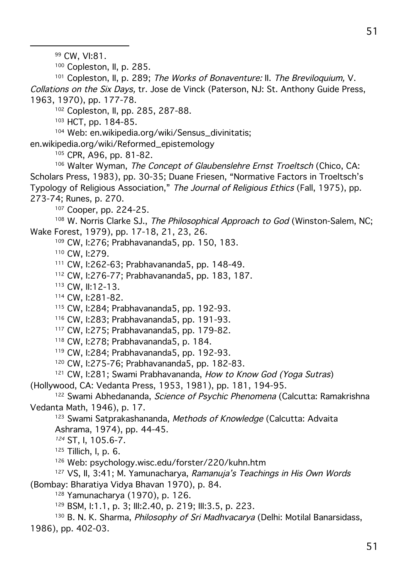99 CW, VI:81.

100 Copleston, II, p. 285.

<sup>101</sup> Copleston, II, p. 289; The Works of Bonaventure: II. The Breviloquium, V. Collations on the Six Days, tr. Jose de Vinck (Paterson, NJ: St. Anthony Guide Press, 1963, 1970), pp. 177-78.

102 Copleston, II, pp. 285, 287-88.

103 HCT, pp. 184-85.

104 Web: en.wikipedia.org/wiki/Sensus\_divinitatis;

en.wikipedia.org/wiki/Reformed\_epistemology

105 CPR, A96, pp. 81-82.

<sup>106</sup> Walter Wyman, *The Concept of Glaubenslehre Ernst Troeltsch* (Chico, CA: Scholars Press, 1983), pp. 30-35; Duane Friesen, "Normative Factors in Troeltsch's Typology of Religious Association," The Journal of Religious Ethics (Fall, 1975), pp. 273-74; Runes, p. 270.

107 Cooper, pp. 224-25.

<sup>108</sup> W. Norris Clarke SJ., *The Philosophical Approach to God* (Winston-Salem, NC; Wake Forest, 1979), pp. 17-18, 21, 23, 26.

109 CW, I:276; Prabhavananda5, pp. 150, 183.

110 CW, I:279.

111 CW, I:262-63; Prabhavananda5, pp. 148-49.

112 CW, I:276-77; Prabhavananda5, pp. 183, 187.

113 CW, II:12-13.

114 CW, I:281-82.

115 CW, I:284; Prabhavananda5, pp. 192-93.

116 CW, I:283; Prabhavananda5, pp. 191-93.

117 CW, I:275; Prabhavananda5, pp. 179-82.

118 CW, I:278; Prabhavananda5, p. 184.

119 CW, I:284; Prabhavananda5, pp. 192-93.

120 CW, I:275-76; Prabhavananda5, pp. 182-83.

<sup>121</sup> CW, I:281; Swami Prabhavananda, How to Know God (Yoga Sutras)

(Hollywood, CA: Vedanta Press, 1953, 1981), pp. 181, 194-95.

122 Swami Abhedananda, Science of Psychic Phenomena (Calcutta: Ramakrishna Vedanta Math, 1946), p. 17.

123 Swami Satprakashananda, Methods of Knowledge (Calcutta: Advaita Ashrama, 1974), pp. 44-45.

<sup>124</sup> ST, I, 105.6-7.

125 Tillich, I, p. 6.

<sup>126</sup> Web: psychology.wisc.edu/forster/220/kuhn.htm

<sup>127</sup> VS, II, 3:41; M. Yamunacharya, Ramanuja's Teachings in His Own Words (Bombay: Bharatiya Vidya Bhavan 1970), p. 84.

<sup>128</sup> Yamunacharya (1970), p. 126.

129 BSM, I:1.1, p. 3; III:2.40, p. 219; III:3.5, p. 223.

<sup>130</sup> B. N. K. Sharma, *Philosophy of Sri Madhvacarya* (Delhi: Motilal Banarsidass, 1986), pp. 402-03.